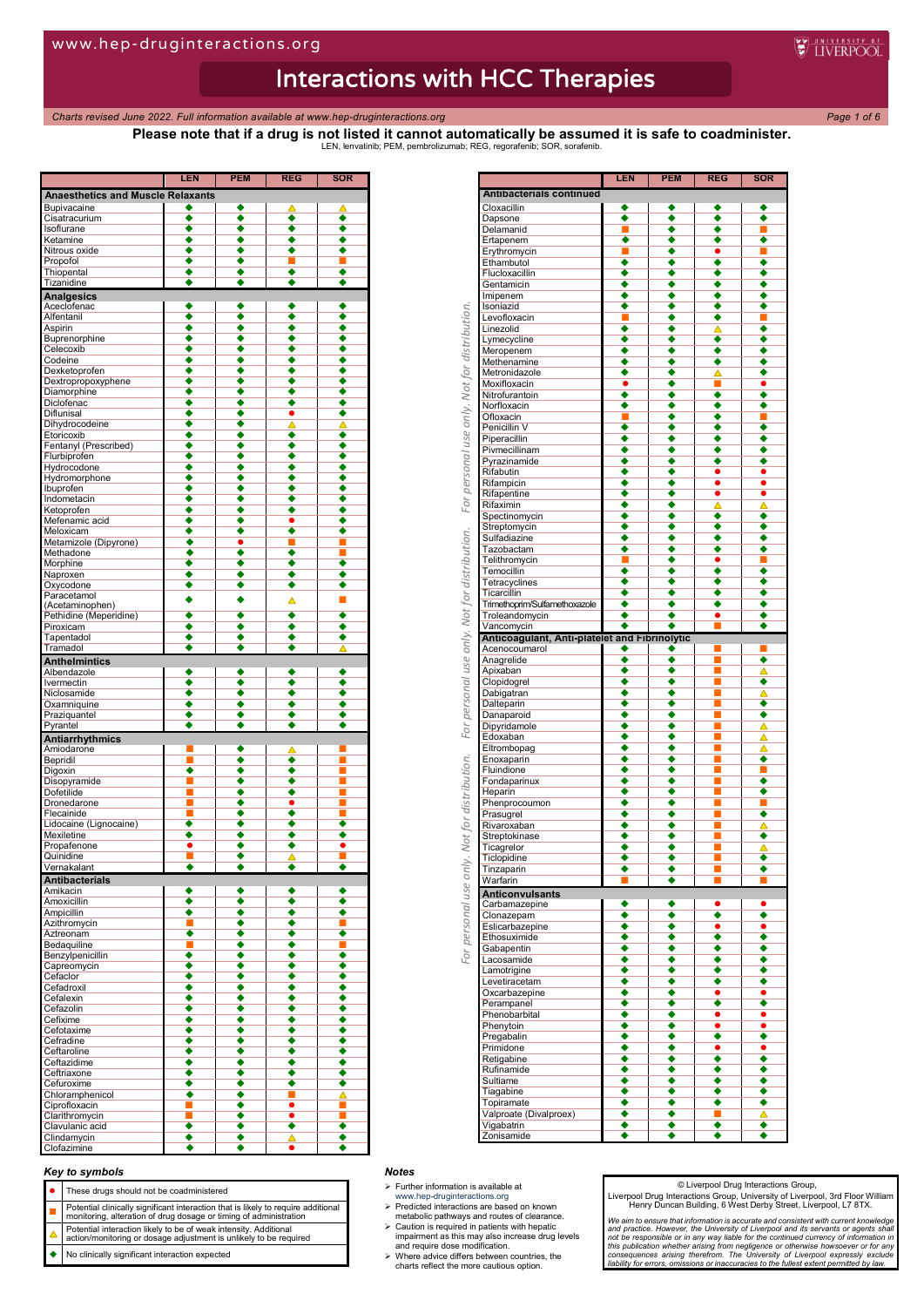*Charts revised June 2022. Full information available at www.hep-druginteractions.org Page 1 of 6*

**LEN PEM REG SOR**

**Please note that if a drug is not listed it cannot automatically be assumed it is safe to coadminister.** LEN, lenvatinib; PEM, pembrolizumab; REG, regorafenib; SOR, sorafenib.

**WEINERPOOL** 

| <b>Anaesthetics and Muscle Relaxants</b> |                      |                      |                      |                      |
|------------------------------------------|----------------------|----------------------|----------------------|----------------------|
| Bupivacaine                              |                      | ٠                    | Δ                    | ▲                    |
| Cisatracurium                            | $\overline{\bullet}$ | ٠                    | ٠                    | ٠                    |
| Isoflurane                               | ٠                    | ٠                    | ٠                    | ٠                    |
| Ketamine                                 |                      |                      | ٠                    |                      |
| Nitrous oxide                            | ٠                    | ٠                    | ٠                    | ٠                    |
|                                          |                      |                      |                      |                      |
| Propofol                                 | ٠                    | ٠                    | П                    |                      |
| Thiopental                               |                      |                      | ٠                    |                      |
| Tizanidine                               |                      | ٠                    | ٠                    |                      |
| <b>Analgesics</b>                        |                      |                      |                      |                      |
| Aceclofenac                              | ٠                    | ٠                    | ٠                    | ٠                    |
|                                          |                      |                      |                      |                      |
| Alfentanil                               | ٠                    | ٠                    | $\overline{\bullet}$ | ٠                    |
| Aspirin                                  | ٠                    | ٠                    | ٠                    |                      |
| Buprenorphine                            | ٠                    | ٠                    | ٠                    | ٠                    |
| Celecoxib                                |                      |                      | ٠                    |                      |
| Codeine                                  |                      |                      | ٠                    |                      |
| Dexketoprofen                            |                      | ٠                    | ٠                    |                      |
|                                          |                      |                      |                      |                      |
| Dextropropoxyphene                       |                      | ٠                    | ٠                    | ٠                    |
| Diamorphine                              | ٠                    | ٠                    | ٠                    | ٠                    |
| Diclofenac                               |                      |                      | $\overline{\bullet}$ |                      |
| <b>Diflunisal</b>                        |                      | ٠                    | ٠                    | ٠                    |
| Dihydrocodeine                           |                      | ٠                    | ▵                    | ◬                    |
|                                          |                      |                      | ٠                    |                      |
| Etoricoxib                               |                      |                      |                      |                      |
| Fentanyl (Prescribed)                    | ٠                    | ٠                    | ٠                    | ٠                    |
| Flurbiprofen                             |                      | ٠                    | ٠                    | ٠                    |
| Hydrocodone                              |                      | ٠                    | ٠                    |                      |
| Hydromorphone                            |                      |                      | $\overline{\bullet}$ |                      |
| Ibuprofen                                |                      | ٠                    | ٠                    |                      |
|                                          |                      |                      |                      |                      |
| Indometacin                              |                      |                      | ٠                    |                      |
| Ketoprofen                               |                      |                      | $\overline{\bullet}$ |                      |
| Mefenamic acid                           |                      | ٠                    | ٠                    | ٠                    |
| Meloxicam                                | ٠                    | ٠                    | ٠                    | ٠                    |
| Metamizole (Dipyrone)                    |                      | $\bullet$            |                      |                      |
|                                          |                      |                      |                      |                      |
| Methadone                                | ٠                    | ٠                    | ٠                    |                      |
| Morphine                                 | ٠                    | ٠                    | ٠                    | ٠                    |
| Naproxen                                 |                      | ٠                    | ٠                    | ٠                    |
| Oxycodone                                |                      | ٠                    | $\overline{\bullet}$ |                      |
| Paracetamol                              |                      |                      |                      |                      |
| (Acetaminophen)                          |                      | ٠                    | Δ                    |                      |
| Pethidine (Meperidine)                   |                      | ٠                    | $\overline{\bullet}$ | ٠                    |
|                                          |                      |                      |                      |                      |
| Piroxicam                                |                      | ٠                    | ٠                    |                      |
| Tapentadol                               | ٠                    | ٠                    | ٠                    | ٠                    |
| Tramadol                                 | ٠                    | ٠                    | ٠                    |                      |
| <b>Anthelmintics</b>                     |                      |                      |                      |                      |
|                                          | ٠                    | ٠                    | ٠                    | ٠                    |
| Albendazole                              |                      |                      |                      |                      |
| Ivermectin                               |                      | ٠                    | ٠                    |                      |
| Niclosamide                              | ٠                    | ٠                    | ٠                    |                      |
| Oxamniquine                              | ٠                    | ٠                    | ٠                    |                      |
| Praziquantel                             |                      | ٠                    | $\overline{\bullet}$ |                      |
| Pyrantel                                 | ٠                    | ٠                    | ٠                    | ٠                    |
|                                          |                      |                      |                      |                      |
| <b>Antiarrhythmics</b>                   |                      |                      |                      |                      |
| Amiodarone                               |                      |                      | Δ                    |                      |
| Bepridil                                 | ٦                    | ٠                    | $\overline{\bullet}$ |                      |
| Digoxin                                  | ◆                    |                      | $\overline{\bullet}$ |                      |
| Disopyramide                             |                      | ٠                    | ٠                    |                      |
|                                          |                      |                      |                      |                      |
| <b>Dofetilide</b>                        |                      | ٠                    | $\overline{\bullet}$ |                      |
| Dronedarone                              |                      |                      | $\bullet$            |                      |
| Flecainide                               |                      | ٠                    | ٠                    |                      |
| Lidocaine (Lignocaine)                   | ٠                    |                      | ٠                    | ٠                    |
| Mexiletine                               |                      |                      | ٠                    |                      |
|                                          |                      |                      |                      |                      |
| Propafenone                              |                      |                      | $\overline{\bullet}$ |                      |
| Quinidine                                |                      | ٠                    | ▵                    |                      |
| Vernakalant                              | ٠                    | ٠                    | $\overline{\bullet}$ | ٠                    |
| <b>Antibacterials</b>                    |                      |                      |                      |                      |
| Amikacin                                 | ٠                    |                      | ٠                    | ٠                    |
|                                          |                      |                      |                      |                      |
| Amoxicillin                              | ٠                    | ٠                    | $\overline{\bullet}$ | ٠                    |
| Ampicillin                               | ٠                    | ٠                    | ٠                    | ٠                    |
| Azithromycin                             | П                    | ٠                    | ٠                    | п                    |
| Aztreonam                                | ٠                    | ٠                    | ٠                    | $\overline{\bullet}$ |
| Bedaquiline                              |                      | ٠                    | ٠                    |                      |
|                                          | ٠                    | ٠                    | $\overline{\bullet}$ | ٠                    |
| Benzylpenicillin                         |                      |                      |                      |                      |
| Capreomycin                              | ٠                    | $\overline{\bullet}$ | $\overline{\bullet}$ | $\overline{\bullet}$ |
| Cefaclor                                 | ٠                    | ٠                    | ٠                    | ٠                    |
| Cefadroxil                               | ٠                    | ٠                    | ٠                    | ۰                    |
| Cefalexin                                | ٠                    | ٠                    | $\overline{\bullet}$ | ٠                    |
| Cefazolin                                | ٠                    | ٠                    | ٠                    | ٠                    |
|                                          |                      |                      |                      |                      |
| Cefixime                                 | ٠                    | ٠                    | ٠                    | ٠                    |
| Cefotaxime                               | ٠                    | ٠                    | ٠                    | ٠                    |
| Cefradine                                | ٠                    | ٠                    | ٠                    | ٠                    |
| Ceftaroline                              | ٠                    | ٠                    | ٠                    | ٠                    |
| Ceftazidime                              | ٠                    | ٠                    | ٠                    | ٠                    |
|                                          |                      |                      |                      |                      |
| Ceftriaxone                              | ٠                    | ٠                    | ٠                    | ٠                    |
| Cefuroxime                               | ◆                    | ٠                    | ٠                    | ٠                    |
| Chloramphenicol                          | ٠                    | ٠                    | <b>I</b>             | Δ                    |
| Ciprofloxacin                            | ٦                    | ٠                    | $\overline{\bullet}$ | ■                    |
| Clarithromycin                           |                      | ٠                    | ٠                    | Ξ                    |
| Clavulanic acid                          | ٠                    | ٠                    | ٠                    | ٠                    |
|                                          |                      |                      |                      |                      |
| Clindamycin                              | ٠                    | ٠                    | Δ                    | ٠                    |
| Clofazimine                              |                      | ٠                    |                      |                      |

|                                                 | LEN                  | <b>PEM</b>           | REG       | SOR       |
|-------------------------------------------------|----------------------|----------------------|-----------|-----------|
| <b>Antibacterials continued</b>                 |                      |                      |           |           |
| Cloxacillin                                     | $\overline{\bullet}$ | ٠                    |           |           |
| Dapsone<br>Delamanid                            | П                    | ٠                    | ٠         | ■         |
| Ertapenem                                       |                      |                      |           |           |
| Erythromycin                                    |                      | ٠                    |           |           |
| Ethambutol                                      | ٠                    | ٠                    | ٠         | ٠         |
| Flucloxacillin                                  | ٠                    | ٠                    |           |           |
| Gentamicin                                      | ٠                    | ٠                    |           | ٠         |
| Imipenem                                        | ٠                    | ۰                    |           | ٠         |
| Isoniazid<br>Levofloxacin                       | ٠<br>П               | ٠<br>٠               | ٠<br>٠    | ٠         |
| Linezolid                                       | ◆                    |                      |           |           |
| Lymecycline                                     |                      | ٠                    |           |           |
| Meropenem                                       |                      | ٠                    | ٠         |           |
| Methenamine                                     |                      | ٠                    | ٠         |           |
| Metronidazole                                   | ٠                    | ٠                    |           |           |
| Moxifloxacin                                    |                      |                      |           |           |
| Nitrofurantoin                                  |                      | ٠                    |           | ٠         |
| Norfloxacin<br>Ofloxacin                        | ٠                    | ◆                    | ٠         |           |
| Penicillin V                                    | ٠                    | ٠                    | ٠         | ٠         |
| Piperacillin                                    | ٠                    | ٠                    | ٠         |           |
| Pivmecillinam                                   |                      |                      |           |           |
| Pyrazinamide                                    |                      | ٠                    |           |           |
| Rifabutin                                       |                      | ٠                    | ٠         |           |
| Rifampicin                                      | ٠                    | ٠                    |           |           |
| Rifapentine                                     | ٠                    | ٠                    |           |           |
| Rifaximin                                       | ٠                    | ٠                    | Δ         | Δ         |
| Spectinomycin<br>Streptomycin                   | ٠                    | ٠<br>٠               | ٠<br>٠    | ٠<br>٠    |
| Sulfadiazine                                    | ٠                    | ۰                    | ۰         | ٠         |
| Tazobactam                                      | ٠                    | ٠                    | ٠         |           |
| Telithromycin                                   |                      |                      | ٠         |           |
| Temocillin                                      |                      |                      |           |           |
| Tetracyclines                                   |                      |                      |           |           |
| Ticarcillin                                     |                      |                      |           |           |
| Trimethoprim/Sulfamethoxazole<br>Troleandomycin | ٠<br>٠               | ٠                    | ٠<br>٠    | ٠         |
| Vancomycin                                      |                      | ٠                    |           |           |
| Anticoagulant, Anti-platelet and Fibrinolytic   |                      |                      |           |           |
| Acenocoumarol                                   |                      | ٠                    |           |           |
| Anagrelide                                      | ٠                    | ٠                    |           | ٠         |
| Apixaban                                        | ٠                    | ٠                    |           |           |
| Clopidogrel                                     |                      |                      |           | ٠         |
| Dabigatran                                      |                      | ٠                    |           |           |
| Dalteparin<br>Danaparoid                        |                      | ٠                    |           | ٠         |
| Dipyridamole                                    |                      | ٠                    |           | Δ         |
| Edoxaban                                        | ٠                    | ٠                    |           | Δ         |
| Eltrombopag                                     |                      |                      |           | Δ         |
| Enoxaparin                                      |                      |                      |           | ٠         |
| Fluindione                                      |                      | ٠                    |           | П         |
| Fondaparinux                                    | ٠                    | ٠                    |           | ٠         |
| Heparin                                         | ٠                    | ٠                    |           | ٠         |
| Phenprocoumon                                   |                      | ٠                    |           |           |
| Prasugrel                                       |                      | ٠<br>٠               |           | ٠         |
| Rivaroxaban<br>Streptokinase                    | ۰                    | ٠                    |           | ▵<br>٠    |
| Ticagrelor                                      | ٠                    | ٠                    |           | Δ         |
| Ticlopidine                                     | ٠                    | ٠                    |           | ٠         |
| rinzapann                                       |                      |                      |           |           |
| Warfarin                                        |                      | ٠                    |           |           |
| <b>Anticonvulsants</b>                          |                      |                      |           |           |
| Carbamazepine                                   |                      |                      |           |           |
| Clonazepam                                      | ۰                    | è                    | ◆         | ٠         |
| Eslicarbazepine                                 | ٠                    | ٠                    | ٠         | $\bullet$ |
| Ethosuximide                                    | ٠                    | ٠                    | ٠         | ٠         |
| Gabapentin                                      | ٠                    | ٠                    | ٠         | ٠         |
| Lacosamide<br>Lamotrigine                       | ٠<br>٠               | ٠<br>٠               | ٠<br>٠    | ٠<br>٠    |
| Levetiracetam                                   | ٠                    | ٠                    | ٠         | ٠         |
| Oxcarbazepine                                   | ٠                    | ٠                    | ٠         | ٠         |
| Perampanel                                      | ۰                    | $\overline{\bullet}$ | ◆         | ∙         |
| Phenobarbital                                   | ٠                    | ٠                    | $\bullet$ | $\bullet$ |
| Phenytoin                                       | ٠                    | $\overline{\bullet}$ |           |           |
| Pregabalin                                      | ◆                    | ∙                    | $\bullet$ | $\bullet$ |
| Primidone                                       | ٠                    | ٠                    | ٠         | $\bullet$ |
| Retigabine                                      | ٠                    | ٠                    | ٠         | ٠         |
| Rufinamide                                      | ٠                    | ٠                    | ٠         | ٠         |
| Sultiame<br>Tiagabine                           | ٠<br>٠               | ٠<br>٠               | ٠<br>٠    | ٠<br>٠    |
| Topiramate                                      | ٠                    | ٠                    | ٠         | ٠         |
| Valproate (Divalproex)                          | ٠                    | ٠                    | п         | Δ         |
| Vigabatrin                                      | ٠                    | ٠                    | ∙         | ◆         |
| Zonisamide                                      | ٠                    | ٠                    | ٠         | ٠         |
|                                                 |                      |                      |           |           |

#### *Key to symbols*

- These drugs should not be coadministered
- **Potential clinically significant interaction that is likely to require additional**<br>monitoring, alteration of drug dosage or timing of administration
- Potential interaction likely to be of weak intensity. Additional
- action/monitoring or dosage adjustment is unlikely to be required
- No clinically significant interaction expected

#### *Notes*

- $\triangleright$  Further information is available at
- 
- www.hep-druginteractions.org Predicted interactions are based on known metabolic pathways and routes of clearance.
- Caution is required in patients with hepatic impairment as this may also increase drug levels and require dose modification. Where advice differs between countries, the charts reflect the more cautious option.
- 

#### © Liverpool Drug Interactions Group,

Liverpool Drug Interactions Group, University of Liverpool, 3rd Floor William Henry Duncan Building, 6 West Derby Street, Liverpool, L7 8TX.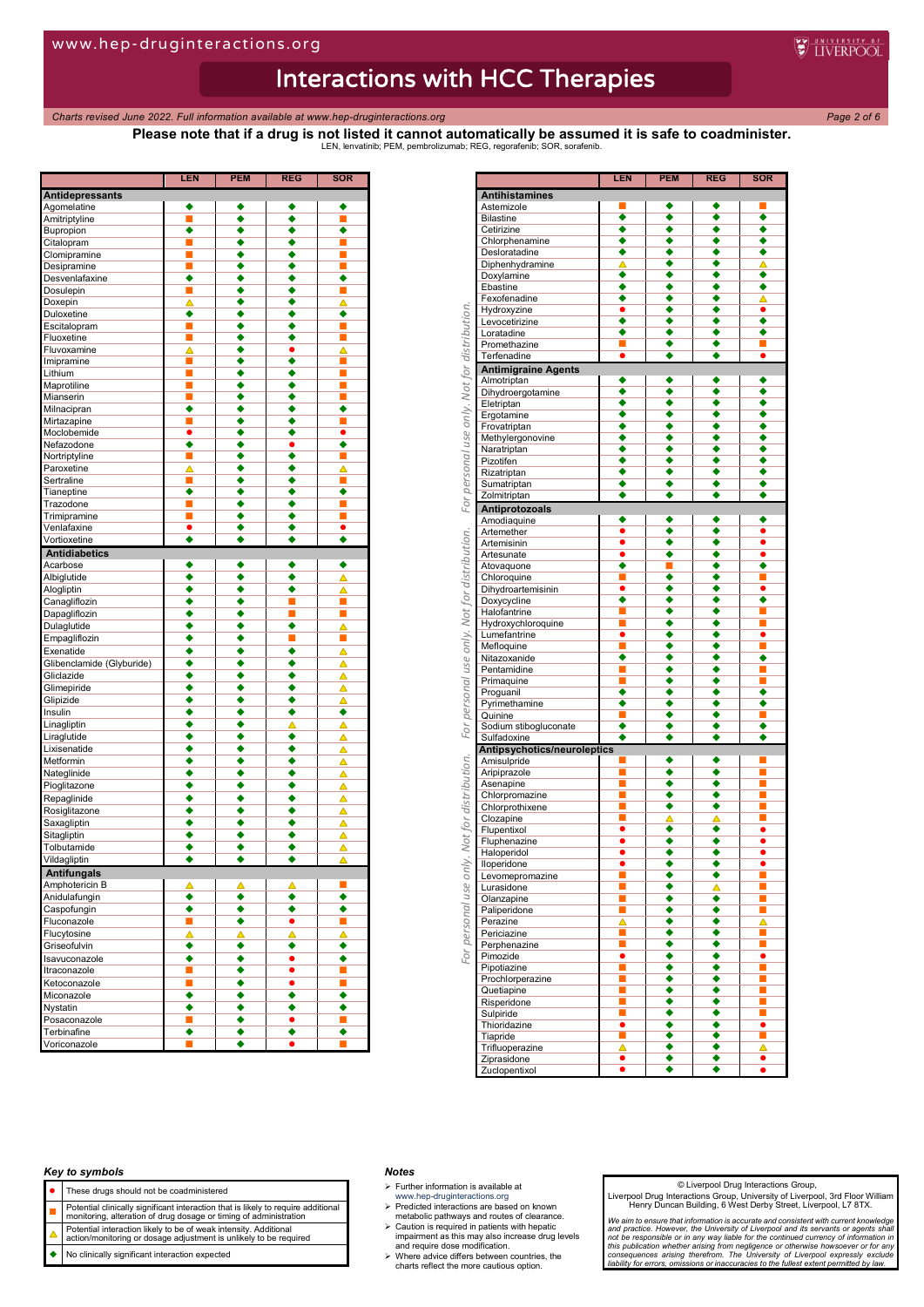*Charts revised June 2022. Full information available at www.hep-druginteractions.org Page 2 of 6*

**Please note that if a drug is not listed it cannot automatically be assumed it is safe to coadminister.** LEN, lenvatinib; PEM, pembrolizumab; REG, regorafenib; SOR, sorafenib.

**WEINERPOOL** 

|                               | <b>LEN</b> | <b>PEM</b> | <b>REG</b> | <b>SOR</b>                  |
|-------------------------------|------------|------------|------------|-----------------------------|
| <b>Antidepressants</b>        |            |            |            |                             |
| Agomelatine                   |            |            | ٠          |                             |
| Amitriptyline                 | П          |            | ۰          | п                           |
| Bupropion                     | ٠          |            | ٠          | ٠                           |
| Citalopram                    | П          |            | ٠          | п                           |
| Clomipramine                  | П<br>D     |            |            | ■                           |
| Desipramine<br>Desvenlafaxine | ٠          |            | ٠          | ٠                           |
| Dosulepin                     | П          |            | ٠          | П                           |
| Doxepin                       | Δ          |            | ٠          | Δ                           |
| Duloxetine                    | ٠          |            | ٠          | ٠                           |
| Escitalopram                  | П          |            | ٠          | u                           |
| Fluoxetine                    | E          |            |            | ш                           |
| Fluvoxamine                   | Δ          |            | ٠          | Δ                           |
| Imipramine                    | П          |            | ٠          | П                           |
| Lithium                       | П          |            | ٠          | П                           |
| Maprotiline                   | П          |            |            | ■                           |
| Mianserin<br>Milnacipran      | П<br>٠     |            | ٠<br>٠     | П<br>٠                      |
| Mirtazapine                   | П          |            | ٠          | ■                           |
| Moclobemide                   | $\bullet$  |            |            | $\bullet$                   |
| Nefazodone                    | ٠          |            |            | ٠                           |
| Nortriptyline                 | П          |            | ٠          | П                           |
| Paroxetine                    | Λ          |            |            |                             |
| Sertraline                    | E          |            | ٠          | п                           |
| Tianeptine                    | ٠          |            | ٠          | ٠                           |
| Trazodone                     | П          |            | ٠          |                             |
| Trimipramine                  | П          |            | ٠          | ■                           |
| Venlafaxine                   | ٠          |            | ٠          | $\bullet$                   |
| Vortioxetine                  | ٠          |            | ٠          | ٠                           |
| <b>Antidiabetics</b>          |            |            |            |                             |
| Acarbose                      | ٠<br>٠     | ٠<br>٠     | ٠          | ٠                           |
| Albiglutide<br>Alogliptin     | ٠          | ٠          | ٠<br>٠     | Δ                           |
| Canagliflozin                 | ٠          | ٠          |            | Δ<br>П                      |
| Dapagliflozin                 | ٠          | ٠          | п          | п                           |
| Dulaglutide                   | ٠          | ٠          | ٠          | Δ                           |
| Empagliflozin                 | ٠          | ٠          | п          | п                           |
| Exenatide                     | ٠          | ٠          | ٠          | ▵                           |
| Glibenclamide (Glyburide)     | ٠          | ٠          | ٠          | Δ                           |
| Gliclazide                    | ٠          | ٠          | ٠          | ▵                           |
| Glimepiride                   | ٠          | ٠          | ٠          | Δ                           |
| Glipizide                     | ٠          | ٠          | ٠          | Δ                           |
| Insulin                       | ٠          | ٠          | ٠          | ٠                           |
| Linagliptin                   | ٠          |            |            | ◬                           |
| Liraglutide                   | ٠          | ٠          | ٠          | Δ                           |
| Lixisenatide                  | ٠          | ٠          | ٠          | Δ                           |
| Metformin                     | ٠          |            | ٠          | Δ                           |
| Nateglinide                   | ٠          |            | ٠          | Δ                           |
| Pioglitazone                  | ٠          | ٠          | ٠          | Δ                           |
| Repaglinide                   | ٠          | ٠          | ٠          | Δ                           |
| Rosiglitazone                 | ٠          |            | ٠          | Δ                           |
| Saxagliptin                   | ٠<br>٠     | ٠          | ٠<br>٠     | Δ                           |
| Sitagliptin<br>Tolbutamide    | ٠          |            | ٠          | Δ<br>Δ                      |
| Vildagliptin                  | ٠          |            | ٠          | Δ                           |
| <b>Antifungals</b>            |            |            |            |                             |
| Amphotericin B                | Δ          | ▵          | Δ          |                             |
| Anidulafungin                 | ٠          | ٠          | ٠          | ٠                           |
| Caspofungin                   | ٠          | ٠          | ٠          | ٠                           |
| Fluconazole                   | a.         | ٠          | ٠          | $\mathcal{L}_{\mathcal{A}}$ |
| Flucytosine                   | Δ          | Δ          | Δ          | Δ                           |
| Griseofulvin                  | ٠          | ٠          | ٠          | ٠                           |
| Isavuconazole                 | ٠          | ٠          | $\bullet$  | ٠                           |
| Itraconazole                  | <b>I</b>   | ٠          | $\bullet$  | o,                          |
| Ketoconazole                  | L.         | ٠          | $\bullet$  | $\blacksquare$              |
| Miconazole                    | ٠          | ٠          | ٠          | ٠                           |
| Nystatin                      | ٠          | ٠          | ٠          | ٠                           |
| Posaconazole                  | L.         | ٠          | ٠          | $\overline{\phantom{a}}$    |
| Terbinafine<br>Voriconazole   | ٠          | ٠<br>٠     | ٠          | ٠                           |
|                               |            |            |            |                             |

|                                              |                                    | <b>LEN</b>           | <b>PEM</b> | <b>REG</b> | <b>SOR</b>           |
|----------------------------------------------|------------------------------------|----------------------|------------|------------|----------------------|
|                                              | <b>Antihistamines</b>              |                      |            |            |                      |
|                                              | Astemizole                         |                      |            | ٠          |                      |
|                                              | <b>Bilastine</b>                   | ٠                    | ٠          | ٠          | ٠                    |
|                                              | Cetirizine                         | ٠                    | ٠<br>٠     | ٠<br>٠     | ٠                    |
|                                              | Chlorphenamine<br>Desloratadine    | ٠<br>٠               | ٠          |            | ٠<br>٠               |
|                                              | Diphenhydramine                    | Δ                    | ٠          |            | Δ                    |
|                                              | Doxylamine                         | ٠                    | ٠          | ٠          | ٠                    |
|                                              | Ebastine                           | ٠                    | ٠          | ٠          | ٠                    |
|                                              | Fexofenadine                       | ٠                    | ٠          |            | Δ                    |
|                                              | Hydroxyzine                        | ٠                    | ٠          |            | ٠                    |
|                                              | Levocetirizine<br>Loratadine       | ٠<br>٠               | ٠<br>٠     |            | ٠<br>٠               |
|                                              | Promethazine                       |                      | ٠          | ۰          |                      |
|                                              | Terfenadine                        |                      | ٠          | ٠          |                      |
| personal use only. Not for distribution.     | <b>Antimigraine Agents</b>         |                      |            |            |                      |
|                                              | Almotriptan                        |                      | ٠          |            | ٠                    |
|                                              | Dihydroergotamine                  | ٠                    | ٠          | ٠          | ٠                    |
|                                              | Eletriptan                         | ٠                    | ٠          | ٠          | ٠                    |
|                                              | Ergotamine<br>Frovatriptan         | ٠                    | ٠<br>٠     | ٠          | ٠<br>٠               |
|                                              | Methylergonovine                   | ٠                    | ٠          |            | ٠                    |
|                                              | Naratriptan                        | ٠                    | ٠          |            | ٠                    |
|                                              | Pizotifen                          | ٠                    | ٠          |            | ٠                    |
|                                              | Rizatriptan                        | ٠                    | ٠          | ٠          | ٠                    |
|                                              | Sumatriptan                        | ٠                    | ٠          |            | ٠                    |
| For                                          | Zolmitriptan                       | ٠                    | ٠          | ٠          | ٠                    |
|                                              | Antiprotozoals                     |                      |            |            |                      |
|                                              | Amodiaquine<br>Artemether          |                      | ٠          | ٠          |                      |
| For personal use only. Not for distribution. | Artemisinin                        | $\bullet$            | ٠          |            | $\bullet$            |
|                                              | Artesunate                         | $\overline{\bullet}$ | ٠          | ٠          | $\overline{\bullet}$ |
|                                              | Atovaquone                         | ٠                    | ■          |            | ٠                    |
|                                              | Chloroquine                        |                      | ٠          |            |                      |
|                                              | Dihydroartemisinin                 | ٠                    | ٠          |            | ٠                    |
|                                              | Doxycycline                        | ٠                    | ٠          |            | ٠                    |
|                                              | Halofantrine                       | П<br>П               | ٠          | ٠          | ш                    |
|                                              | Hydroxychloroquine<br>Lumefantrine |                      |            |            |                      |
|                                              | Mefloquine                         | П                    | ٠          |            | п                    |
|                                              | Nitazoxanide                       | ٠                    | ٠          | ٠          | ٠                    |
|                                              | Pentamidine                        | П                    | ۰          |            | П                    |
|                                              | Primaquine                         |                      | ٠          |            |                      |
|                                              | Proguanil                          | ٠<br>٠               | ٠<br>٠     | ٠<br>٠     | ٠<br>٠               |
|                                              | Pyrimethamine<br>Quinine           | П                    |            |            |                      |
|                                              | Sodium stibogluconate              | ٠                    |            |            |                      |
|                                              | Sulfadoxine                        |                      | ٠          |            |                      |
|                                              | Antipsychotics/neuroleptics        |                      |            |            |                      |
|                                              | Amisulpride                        |                      | ٠          |            |                      |
|                                              | Aripiprazole                       | D.                   |            |            |                      |
|                                              | Asenapine<br>Chlorpromazine        | п                    | ٠          |            |                      |
| ly. Not for distribution.                    | Chlorprothixene                    |                      | ٠          | ٠          |                      |
|                                              | Clozapine                          |                      |            |            |                      |
|                                              | Flupentixol                        |                      | ٠          | ٠          |                      |
|                                              | Fluphenazine                       | ٠                    | ٠          | ٠          | ٠                    |
|                                              | Haloperidol                        | $\bullet$            | ٠          | ٠          | ٠                    |
| S.                                           | lloperidone                        | ٠<br>D.              | ٠          | ٠<br>٠     | $\blacksquare$       |
|                                              | Levomepromazine<br>Lurasidone      | D.                   | ٠          | Δ          | ш                    |
|                                              | Olanzapine                         | П                    | ٠          | ٠          | T,                   |
|                                              | Paliperidone                       | $\blacksquare$       | ۰          | ٠          | ш                    |
|                                              | Perazine                           | $\triangle$          | ۰          | ٠          | ▵                    |
| For personal use                             | Periciazine                        | ■                    | ۰          | ٠          | ■                    |
|                                              | Perphenazine                       | j                    | ◆          | ◆          | Ξ                    |
|                                              | Pimozide                           | ٠<br>E               | ۰<br>٠     | ٠<br>٠     | ū                    |
|                                              | Pipotiazine<br>Prochlorperazine    | E                    | ٠          | ٠          | Ē,                   |
|                                              | Quetiapine                         | П                    | ٠          | ٠          | П                    |
|                                              | Risperidone                        | Ī                    | ٠          | ٠          | i                    |
|                                              | Sulpiride                          | п                    | ٠          |            | п                    |
|                                              | Thioridazine                       | $\bullet$            | ٠          | ٠          | ٠                    |
|                                              | Tiapride                           | Ē,                   | ٠          | ٠          | Ē,                   |
|                                              | Trifluoperazine<br>Ziprasidone     | Δ<br>٠               | ۰<br>٠     | ٠          | Δ<br>٠               |
|                                              | Zuclopentixol                      | $\overline{\bullet}$ | ٠          | ٠          | ٠                    |
|                                              |                                    |                      |            |            |                      |

#### *Key to symbols*

- These drugs should not be coadministered
- 
- **Potential clinically significant interaction that is likely to require additional**<br>monitoring, alteration of drug dosage or timing of administration
- Potential interaction likely to be of weak intensity. Additional action/monitoring or dosage adjustment is unlikely to be required
- No clinically significant interaction expected

#### *Notes*

- $\triangleright$  Further information is available at
- 
- www.hep-druginteractions.org Predicted interactions are based on known metabolic pathways and routes of clearance.
- Caution is required in patients with hepatic impairment as this may also increase drug levels and require dose modification. Where advice differs between countries, the charts reflect the more cautious option.

#### © Liverpool Drug Interactions Group,

Liverpool Drug Interactions Group, University of Liverpool, 3rd Floor William Henry Duncan Building, 6 West Derby Street, Liverpool, L7 8TX.

*We aim to ensure that information is accurate and consistent with current knowledge*  and practice. However, the University of Liverpool and its servants or agents shall not be responsible or in any way liable for the continued currency of information in this publication whether arising from negligence or o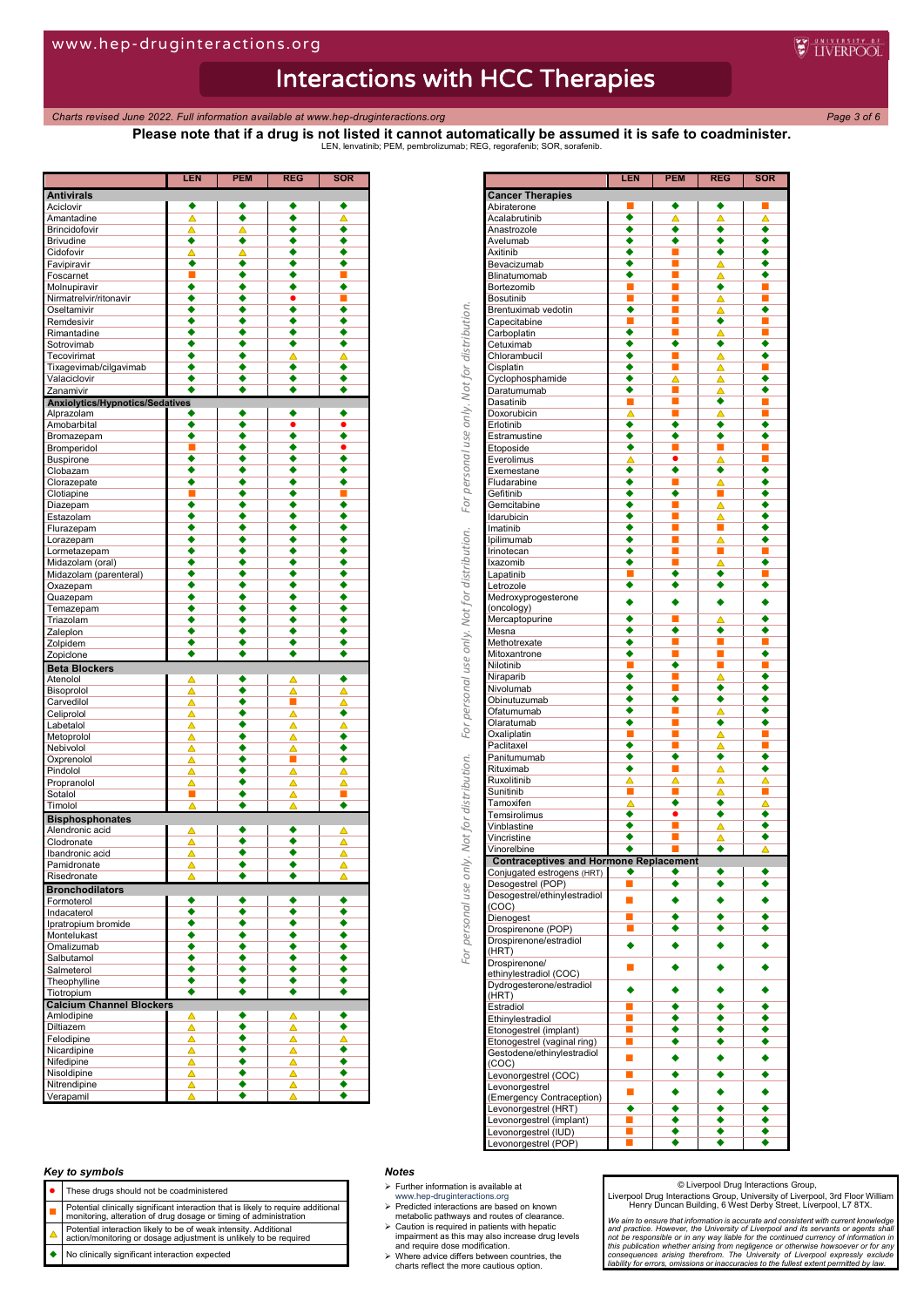*Charts revised June 2022. Full information available at www.hep-druginteractions.org Page 3 of 6*

**Please note that if a drug is not listed it cannot automatically be assumed it is safe to coadminister.** LEN, lenvatinib; PEM, pembrolizumab; REG, regorafenib; SOR, sorafenib.

**WEINERPOOL** 

|                                        | LEN    | PEM    | REG                  | SOR       |
|----------------------------------------|--------|--------|----------------------|-----------|
| <b>Antivirals</b>                      |        |        |                      |           |
| Aciclovir                              | ٠      | ٠      |                      | ٠         |
| Amantadine                             | Δ      | ٠      | ٠                    | ▵         |
| <b>Brincidofovir</b>                   | Δ      | ▵      | ٠                    | ٠         |
| <b>Brivudine</b>                       | ٠      | ٠      | ٠                    | ٠         |
| Cidofovir                              | Δ<br>٠ | Δ<br>٠ | ٠                    | ٠         |
| Favipiravir                            | П      | ٠      | ٠<br>٠               | ٠<br>П    |
| Foscarnet<br>Molnupiravir              | ٠      | ٠      |                      | ٠         |
|                                        | ٠      | ٠      | ٠<br>٠               | П         |
| Nirmatrelvir/ritonavir<br>Oseltamivir  | ٠      | ٠      | $\overline{\bullet}$ | ٠         |
| Remdesivir                             | ٠      | ٠      | ٠                    | ٠         |
| Rimantadine                            | ٠      | ٠      | ٠                    | ٠         |
| Sotrovimab                             | ٠      | ٠      | ٠                    | ٠         |
| Tecovirimat                            | ٠      | ٠      | Δ                    | Δ         |
| Tixagevimab/cilgavimab                 | ٠      | ٠      | ٠                    | ٠         |
| Valaciclovir                           | ٠      | ٠      | $\overline{\bullet}$ | ٠         |
| Zanamivir                              |        | ٠      | ٠                    | ٠         |
| <b>Anxiolytics/Hypnotics/Sedatives</b> |        |        |                      |           |
| Alprazolam                             |        | ٠      | ٠                    | ٠         |
| Amobarbital                            | ∙      | ٠      | ٠                    |           |
| Bromazepam                             | ٠      | ٠      | ٠                    | ٠         |
| Bromperidol                            | п      | ٠      | ٠                    | $\bullet$ |
| <b>Buspirone</b>                       | ٠      | ٠      | ٠                    | ٠         |
| Clobazam                               | ٠      | ٠      | ٠                    | ٠         |
| Clorazepate                            | ٠      | ٠      | ٠                    | ٠         |
| Clotiapine                             | ■      | ٠      | ٠                    | П         |
| Diazepam                               | ٠      | ٠      | $\overline{\bullet}$ | ٠         |
| Estazolam                              | ٠      | ٠      | ٠                    | ٠         |
|                                        | ٠      | ٠      | ٠                    | ٠         |
| Flurazepam                             |        |        | ٠                    |           |
| Lorazepam<br>Lormetazepam              | ٠<br>٠ | ٠<br>٠ | ٠                    | ٠<br>٠    |
|                                        |        |        |                      |           |
| Midazolam (oral)                       | ٠<br>٠ | ٠      | ٠<br>٠               | ٠<br>٠    |
| Midazolam (parenteral)                 |        | ٠      |                      |           |
| Oxazepam                               | ٠<br>◆ | ٠<br>٠ | ٠                    | ٠         |
| Quazepam                               | ٠      | ٠      | ٠<br>٠               | ٠<br>٠    |
| Temazepam                              | ٠      | ٠      | ٠                    | ٠         |
| Triazolam                              |        |        | ٠                    | ٠         |
| Zaleplon                               | ٠      | ٠      | ٠                    |           |
| Zolpidem                               | ٠<br>٠ | ٠      | ٠                    | ٠         |
| Zopiclone                              |        | ٠      |                      | ٠         |
| <b>Beta Blockers</b>                   |        |        |                      |           |
| Atenolol                               | Δ      | ٠      | Δ                    | ٠         |
| Bisoprolol                             | Δ      | ٠      | Δ                    | Δ         |
| Carvedilol                             | Δ      | ٠      | $\blacksquare$       | ◬         |
| Celiprolol                             | Δ      | ٠      | Δ                    | ٠         |
| Labetalol                              | Δ      | ٠      | Δ                    | ▵         |
| Metoprolol                             | Δ      | ٠      | Δ                    | ٠         |
| Nebivolol                              | Δ      | ٠      | Δ                    | ٠         |
| Oxprenolol                             | Δ      | ٠      | п                    | ٠         |
| Pindolol                               | Δ      | ٠      | Δ                    | Δ         |
| Propranolol                            | Δ      | ٠      | Δ                    | Δ         |
| Sotalol                                |        | ٠      | Δ                    |           |
| Timolol                                | Δ      | ٠      | Δ                    | ٠         |
| <b>Bisphosphonates</b>                 |        |        |                      |           |
| Alendronic acid                        | Δ      | ٠      | ٠                    | Δ         |
| Clodronate                             | ᅀ      | ٠      | ٠                    | ▵         |
| Ibandronic acid                        | Δ      | ٠      | ٠                    | Δ         |
| Pamidronate                            | Δ      | ٠      | ٠                    | Δ         |
| Risedronate                            |        |        |                      |           |
| <b>Bronchodilators</b>                 |        |        |                      |           |
| Formoterol                             |        | ٠      | ٠                    | ٠         |
| Indacaterol                            | ٠      | ٠      | ٠                    | ٠         |
| Ipratropium bromide                    | ٠      | ٠      | $\overline{\bullet}$ | ٠         |
| Montelukast                            | ٠      | ٠      | ٠                    | ٠         |
| Omalizumab                             | ٠      | ٠      | ٠                    | ٠         |
| Salbutamol                             | ٠      | ٠      | ٠                    | ٠         |
| Salmeterol                             | ٠      | ٠      | ٠                    | ٠         |
| Theophylline                           | ٠      | ٠      | ٠                    | ٠         |
| Tiotropium                             | ٠      | ٠      | ٠                    | ٠         |
| <b>Calcium Channel Blockers</b>        |        |        |                      |           |
| Amlodipine                             | Δ      | ٠      | Δ                    |           |
| Diltiazem                              | Δ      | ٠      | Δ                    | ٠         |
| Felodipine                             | Δ      | ٠      | Δ                    | Δ         |
| Nicardipine                            | Δ      | ٠      | Δ                    | ٠         |
| Nifedipine                             | Δ      | ٠      | Δ                    | ٠         |
| Nisoldipine                            | Δ      | ٠      | Δ                    | ٠         |
| Nitrendipine                           | Δ      | ٠      | Δ                    | ٠         |
| Verapamil                              | Δ      | ٠      | Δ                    | ٠         |
|                                        |        |        |                      |           |

|                                                         | LEN            | <b>PEM</b> | <b>REG</b>                | SOR    |
|---------------------------------------------------------|----------------|------------|---------------------------|--------|
| <b>Cancer Therapies</b><br>Abiraterone                  |                | ٠          | ٠                         |        |
| Acalabrutinib                                           | ٠              | Δ          | Δ                         | Δ      |
| Anastrozole                                             | ∙              | ٠          | ٠                         | ٠      |
| Avelumab                                                | ٠              | ٠          | ٠                         | ٠      |
| Axitinib                                                |                | E          |                           |        |
| Bevacizumab                                             | ٠              |            | Δ                         | ٠      |
| Blinatumomab                                            |                | П          | Δ                         |        |
| Bortezomib                                              |                | ▉          | ٠                         |        |
| Bosutinib                                               | П<br>٠         | П          | Δ                         | П<br>٠ |
| Brentuximab vedotin                                     | п              | п          | Δ<br>٠                    | ■      |
| Capecitabine<br>Carboplatin                             | ٠              | П          | Δ                         |        |
| Cetuximab                                               | ٠              | ٠          | ٠                         | ٠      |
| Chlorambucil                                            | ٠              | L.         | Δ                         | ٠      |
| Cisplatin                                               | ٠              | ш          | △                         | п      |
| Cyclophosphamide                                        | ٠              | △          | Δ                         | ٠      |
| Daratumumab                                             | ٠              | ш          | Δ                         | ٠      |
| Dasatinib                                               | п              | E          | ٠                         | П      |
| Doxorubicin                                             | Δ              | ш          | Δ                         |        |
| Erlotinib                                               | ٠              | ٠          | ٠                         |        |
| Estramustine                                            | ٠              | ٠          | ٠                         | ٠      |
| Etoposide                                               | ٠              | E          | П                         | П      |
| Everolimus                                              | Δ              | $\bullet$  | Δ                         |        |
| Exemestane                                              | ٠              | ٠          | ٠                         | ٠      |
| Fludarabine                                             | ٠              |            | Δ                         | ٠      |
| Gefitinib                                               | ٠              | ٠          | П                         | ٠      |
| Gemcitabine                                             | ٠              | П          | Δ                         | ٠      |
| Idarubicin                                              | ٠<br>٠         | п          | Δ<br>П                    | ٠      |
| Imatinib                                                | ٠              | П          |                           | ٠      |
| Ipilimumab<br>Irinotecan                                | ٠              | п<br>П     | ᅀ<br>П                    | П      |
| Ixazomib                                                | ٠              | ▉          | △                         | ٠      |
| Lapatinib                                               | П              | ٠          | ٠                         |        |
| Letrozole                                               | ٠              | ٠          | ٠                         | ٠      |
| Medroxyprogesterone                                     |                |            |                           |        |
| (oncology)                                              |                | ٠          | ٠                         |        |
| Mercaptopurine                                          | ٠              | П          | △                         | ٠      |
| Mesna                                                   | ٠              | ٠          | ٠                         | ٠      |
| Methotrexate                                            | ٠              | ■          | ■                         | п      |
| Mitoxantrone                                            | ٠              | П          | П                         | ٠      |
| Nilotinib                                               | п              | ٠          | ■                         | п      |
| Niraparib                                               | ٠              |            | Δ                         | ٠      |
| Nivolumab                                               | ٠              | п          | ٠                         | ٠      |
| Obinutuzumab                                            | ٠              | ٠          | ٠                         | ٠      |
| Ofatumumab                                              | ٠              | ▉          | Δ                         | ٠      |
| Olaratumab                                              | ٠              | E          | ٠                         |        |
| Oxaliplatin                                             |                | ▉          | Δ                         |        |
| Paclitaxel                                              | ٠              | П          | Δ                         | П      |
| Panitumumab                                             | ٠              | ٠          | ٠                         | ٠      |
| Rituximab                                               | ٠              | П          | ▵                         | ٠      |
| Ruxolitinib                                             |                | Δ          | Δ                         |        |
| Sunitinib                                               | П              | П          | ▵                         | П      |
| Tamoxifen                                               | Δ              | ٠          | ٠                         | Δ<br>٠ |
| Temsirolimus                                            | ٠<br>٠         | 0          | ٠                         |        |
| Vinblastine<br>Vincristine                              | ٠              | П          | Δ                         | ٠      |
| Vinorelbine                                             | ٠              |            | Δ<br>$\overline{\bullet}$ | Δ      |
| <b>Contraceptives and Hormone Replacement</b>           |                |            |                           |        |
|                                                         |                |            |                           |        |
| <u>Conjugated estrogens (H</u> RT)<br>Desogestrel (POP) |                |            |                           |        |
| Desogestrel/ethinylestradiol                            |                |            |                           |        |
| (COC)                                                   |                |            |                           |        |
| Dienogest                                               |                | ٠          | ٠                         |        |
| Drospirenone (POP)                                      | П              | ٠          | ٠                         |        |
| Drospirenone/estradiol                                  |                |            |                           |        |
| (HRT)                                                   |                |            |                           |        |
| Drospirenone/                                           | o,             |            |                           |        |
| ethinylestradiol (COC)                                  |                |            |                           |        |
| Dydrogesterone/estradiol                                |                | ٠          | ٠                         |        |
| (HRT)                                                   |                |            |                           |        |
| Estradiol                                               | $\blacksquare$ | ٠          | ٠                         | ٠      |
| Ethinylestradiol                                        | ш              | ٠          | ٠                         | ٠      |
| Etonogestrel (implant)                                  | $\blacksquare$ | ٠          | ٠                         |        |
| Etonogestrel (vaginal ring)                             | ш              | ٠          | ٠                         | ٠      |
| Gestodene/ethinylestradiol                              | п              |            |                           |        |
| (COC)                                                   | п              |            | ٠                         |        |
| Levonorgestrel (COC)                                    |                | ٠          |                           |        |
| Levonorgestrel                                          | п              |            |                           |        |
| (Emergency Contraception)<br>Levonorgestrel (HRT)       |                | ٠          |                           |        |
| Levonorgestrel (implant)                                | П              | ٠          | ٠                         | ٠      |
| Levonorgestrel (IUD)                                    | $\blacksquare$ | ٠          | ۰                         | ٠      |
| Levonorgestrel (POP)                                    |                | ٠          | ٠                         | ٠      |
|                                                         |                |            |                           |        |

## *Key to symbols*

- These drugs should not be coadministered
- **Potential clinically significant interaction that is likely to require additional**<br>monitoring, alteration of drug dosage or timing of administration
- Potential interaction likely to be of weak intensity. Additional action/monitoring or dosage adjustment is unlikely to be required
- No clinically significant interaction expected

#### *Notes*

- $\triangleright$  Further information is available at
- 
- www.hep-druginteractions.org Predicted interactions are based on known metabolic pathways and routes of clearance.
- Caution is required in patients with hepatic impairment as this may also increase drug levels and require dose modification. Where advice differs between countries, the charts reflect the more cautious option.
- 

#### © Liverpool Drug Interactions Group,

Liverpool Drug Interactions Group, University of Liverpool, 3rd Floor William Henry Duncan Building, 6 West Derby Street, Liverpool, L7 8TX.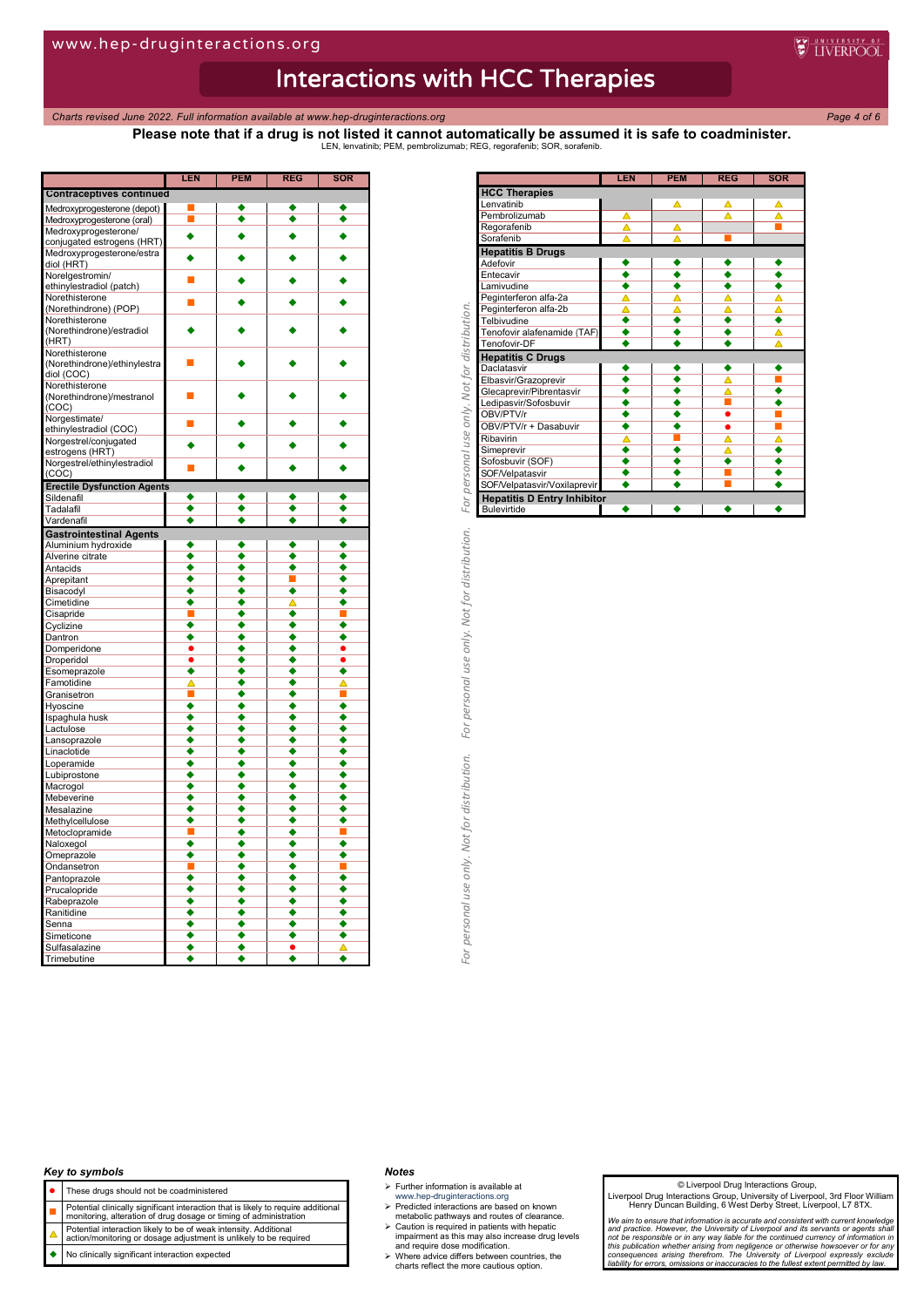personal use only. Not for distribution.

*Charts revised June 2022. Full information available at www.hep-druginteractions.org Page 4 of 6*

**Please note that if a drug is not listed it cannot automatically be assumed it is safe to coadminister.** LEN, lenvatinib; PEM, pembrolizumab; REG, regorafenib; SOR, sorafenib.

|                                    | LEN                  | PEM | REG       | SOR |
|------------------------------------|----------------------|-----|-----------|-----|
| <b>Contraceptives continued</b>    |                      |     |           |     |
| Medroxyprogesterone (depot)        |                      |     |           |     |
| Medroxyprogesterone (oral)         | П                    |     | ٠         | ٠   |
| Medroxyprogesterone/               | ٠                    |     | ٠         | ٠   |
| conjugated estrogens (HRT)         |                      |     |           |     |
| Medroxyprogesterone/estra          | ٠                    |     |           |     |
| diol (HRT)                         |                      |     |           |     |
| Norelgestromin/                    | П                    |     |           |     |
| ethinylestradiol (patch)           |                      |     |           |     |
| Norethisterone                     | П                    |     |           |     |
| (Norethindrone) (POP)              |                      |     |           |     |
| Norethisterone                     |                      |     |           |     |
| (Norethindrone)/estradiol<br>(HRT) |                      |     |           |     |
| Norethisterone                     |                      |     |           |     |
| (Norethindrone)/ethinylestra       |                      |     |           |     |
| diol (COC)                         |                      |     |           |     |
| Norethisterone                     |                      |     |           |     |
| (Norethindrone)/mestranol          | ■                    |     |           |     |
| (COC)                              |                      |     |           |     |
| Norgestimate/                      |                      |     |           |     |
| ethinylestradiol (COC)             | П                    |     |           |     |
| Norgestrel/conjugated              |                      |     |           |     |
| estrogens (HRT)                    |                      |     |           |     |
| Norgestrel/ethinylestradiol        |                      |     |           |     |
| (COC)                              |                      |     |           |     |
| <b>Erectile Dysfunction Agents</b> |                      |     |           |     |
| Sildenafil                         | ٠                    |     |           | ٠   |
| Tadalafil                          | ٠                    |     |           |     |
| Vardenafil                         | $\overline{\bullet}$ |     | ٥         |     |
| <b>Gastrointestinal Agents</b>     |                      |     |           |     |
| Aluminium hydroxide                |                      |     |           |     |
| Alverine citrate                   | ٠                    | ٠   | ٠         | ٠   |
| Antacids                           | ٠                    |     |           | ٠   |
| Aprepitant                         | ٠                    |     |           | ٠   |
| Bisacodyl                          | ٠                    |     | ٠         | ٠   |
| Cimetidine                         | ٠                    |     | ∧         | ٠   |
| Cisapride                          |                      |     | ٠         |     |
| Cyclizine                          | ٠                    |     | ٠         | ٠   |
| Dantron                            | ٠                    |     | ٠         |     |
| Domperidone                        |                      |     | ٠         |     |
| Droperidol                         |                      |     | ٠         |     |
| Esomeprazole                       | ٠                    |     | ٠         | ٠   |
| Famotidine                         | Δ                    | ٠   | ٠         |     |
| Granisetron                        |                      |     |           |     |
| Hyoscine                           | ٠                    |     | ٠         | ٠   |
| Ispaghula husk                     | ٠                    |     | ٠         | ٠   |
| Lactulose                          | ٠                    |     | ٠         | ٠   |
| Lansoprazole                       | ٠                    |     | ٠         | ٠   |
| Linaclotide                        | ۰                    |     | ٠         | ٠   |
| Loperamide                         |                      |     | ٠         |     |
| Lubiprostone                       | ٠                    |     | ٠         | ٠   |
| Macrogol                           | ٠                    |     | ٠         | ٠   |
| Mebeverine                         | ٠                    |     | ٠         | ٠   |
| Mesalazine                         | ٠                    | ۸   | ٠         | ٠   |
| Methylcellulose                    |                      |     |           |     |
| Metoclopramide                     |                      |     |           |     |
| Naloxegol                          | ٠                    | ٠   | ٠         | ٠   |
| Omeprazole                         | ٠                    |     | ٠         | ٠   |
| Ondansetron                        |                      | ٠   | ٠         |     |
| Pantoprazole                       | ٠                    |     | ٠         | ٠   |
| Prucalopride                       |                      |     |           |     |
| Rabeprazole                        | ٠                    |     | ٠         | ٠   |
| Ranitidine                         | ٠                    |     | ٠         | ٠   |
| Senna                              | ٠                    |     | ٠         | ٠   |
| Simeticone                         | ٠                    | ٠   | ٠         | ٠   |
| Sulfasalazine                      | ٠                    |     | $\bullet$ | Δ   |
| Trimebutine                        |                      |     |           |     |

|                                                   | LEN                         | <b>PEM</b> | <b>REG</b>   | <b>SOR</b>           |
|---------------------------------------------------|-----------------------------|------------|--------------|----------------------|
| <b>HCC Therapies</b>                              |                             |            |              |                      |
| Lenvatinib                                        |                             | Δ          | Δ            | ▵                    |
| Pembrolizumab                                     | Δ                           |            | Δ            | Δ                    |
| Regorafenib                                       | Δ                           | Δ          |              | П                    |
| Sorafenib                                         | $\overline{\blacktriangle}$ | Δ          | п            |                      |
| <b>Hepatitis B Drugs</b>                          |                             |            |              |                      |
| Adefovir                                          | ٠                           | ٠          | ٠            | ٠                    |
| Entecavir                                         | ٠                           | ٠          | ٠            | ٠                    |
| Lamivudine                                        | ₹                           | ٠          | ₹            | ₹                    |
| Peginterferon alfa-2a                             | Δ                           | Δ          | Δ            | Δ                    |
| Peginterferon alfa-2b                             | Δ                           | ▵          | Δ            | Δ                    |
| Telbivudine                                       | ٠                           | ٠          | ٠            | ٠                    |
| Tenofovir alafenamide (TAF)                       | ٠                           | ٠          | ٠            | Δ                    |
| Tenofovir-DF                                      | ٠                           | ٠          | ٠            | Δ                    |
| <b>Hepatitis C Drugs</b>                          |                             |            |              |                      |
| Daclatasvir                                       | ٠                           | ٠          | ٠            | ٠                    |
| Elbasvir/Grazoprevir                              | ٠                           | ٠          | Δ            | П                    |
| Glecaprevir/Pibrentasvir                          | ◆                           | ◆          | $\triangleq$ | $\overline{\bullet}$ |
| Ledipasvir/Sofosbuvir                             | $\overline{\bullet}$        | ∙          |              | $\ddot{\bullet}$     |
| OBV/PTV/r                                         | ٠                           | ٠          | ٠            | П                    |
| OBV/PTV/r + Dasabuvir                             | ٠                           | ٠          | ٠            | <b>I</b>             |
| Ribavirin                                         | Δ                           | П          | Δ            | Δ                    |
| Simeprevir                                        | ٠                           | ٠          | Δ            | ٠                    |
| Sofosbuvir (SOF)                                  | ٠                           | ٠          | ٠            | ٠                    |
| SOF/Velpatasvir                                   | ٠                           | ٠          | ш<br>▬       | ٠                    |
| SOF/Velpatasvir/Voxilaprevir                      | ٠                           | ٠          |              | ٠                    |
| <b>Hepatitis D Entry Inhibitor</b><br>Bulevirtide | ٠                           | ٠          | ٠            | ٠                    |
|                                                   |                             |            |              |                      |
|                                                   |                             |            |              |                      |
|                                                   |                             |            |              |                      |
|                                                   |                             |            |              |                      |
|                                                   |                             |            |              |                      |

## *Key to symbols*

- These drugs should not be coadministered
- 
- **Potential clinically significant interaction that is likely to require additional**<br>monitoring, alteration of drug dosage or timing of administration
- Potential interaction likely to be of weak intensity. Additional action/monitoring or dosage adjustment is unlikely to be required
- No clinically significant interaction expected

#### *Notes*

- $\triangleright$  Further information is available at
- 
- www.hep-druginteractions.org Predicted interactions are based on known metabolic pathways and routes of clearance.
- Caution is required in patients with hepatic impairment as this may also increase drug levels and require dose modification. Where advice differs between countries, the charts reflect the more cautious option.
- 

#### © Liverpool Drug Interactions Group,

Liverpool Drug Interactions Group, University of Liverpool, 3rd Floor William Henry Duncan Building, 6 West Derby Street, Liverpool, L7 8TX.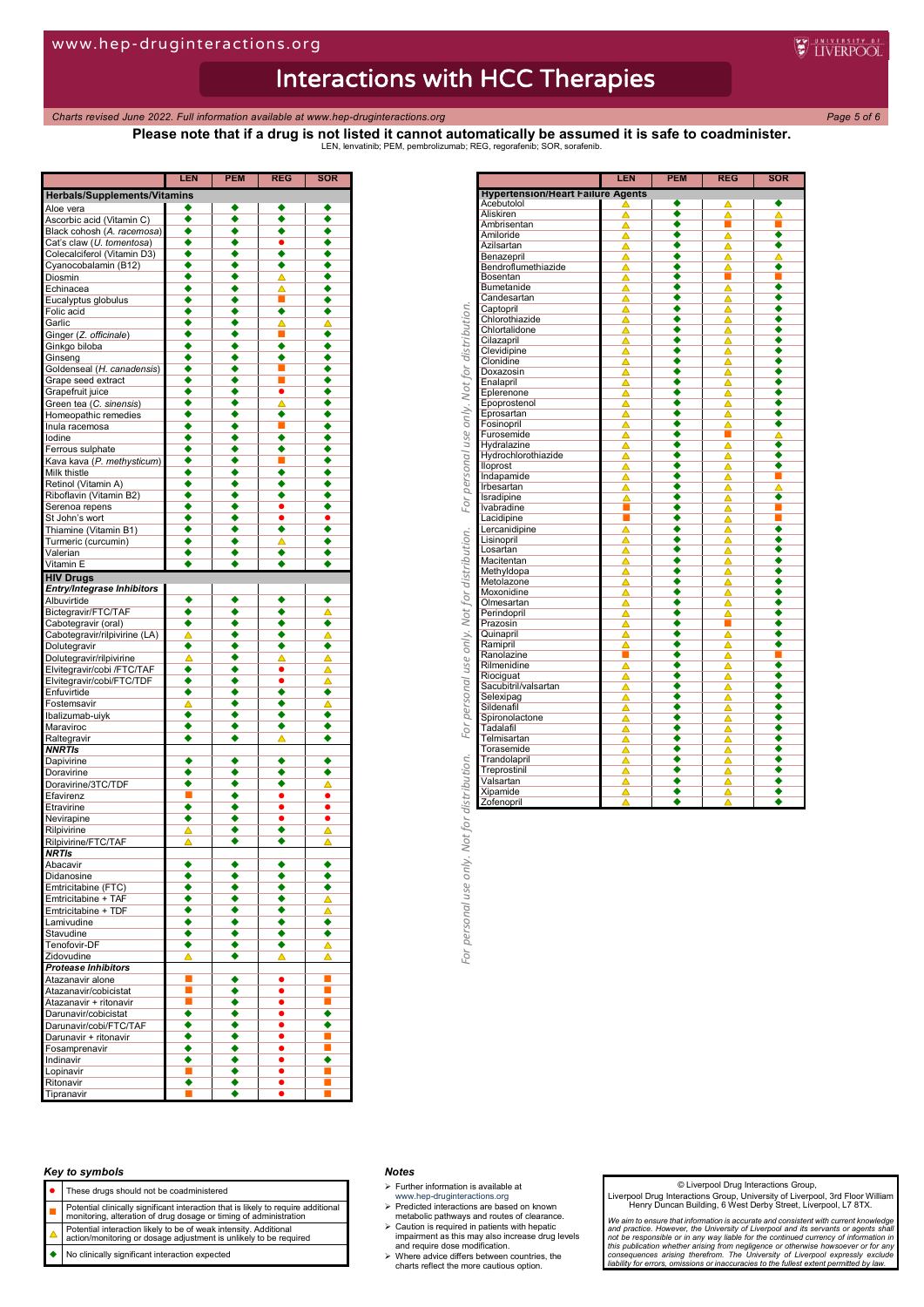*Charts revised June 2022. Full information available at www.hep-druginteractions.org Page 5 of 6*

**WEINERPOOL** 

**Please note that if a drug is not listed it cannot automatically be assumed it is safe to coadminister.** LEN, lenvatinib; PEM, pembrolizumab; REG, regorafenib; SOR, sorafenib.

|                                     | <b>LEN</b> | <b>PEM</b> | <b>REG</b>   | <b>SOR</b> |
|-------------------------------------|------------|------------|--------------|------------|
| <b>Herbals/Supplements/Vitamins</b> |            |            |              |            |
| Aloe vera                           | ٠          |            | ٠            |            |
| Ascorbic acid (Vitamin C)           | ٠          | ٠          | ٠            | ٠          |
| Black cohosh (A. racemosa)          | ٠          | ٠          | ٠            | ٠          |
| Cat's claw (U. tomentosa)           | ٠          | ٠          |              | ٠          |
| Colecalciferol (Vitamin D3)         | ٠          |            | ٠            | ٠          |
| Cyanocobalamin (B12)                | ٠          |            | ٠            | ٠          |
| Diosmin                             | ٠          |            | △            |            |
| Echinacea                           | ٠          |            |              | ٠          |
| Eucalyptus globulus                 | ٠          |            | $\triangleq$ |            |
| Folic acid                          | ٠          |            | ٠            | ٠          |
| Garlic                              | ٠          | ٠          | Δ            | Δ          |
| Ginger (Z. officinale)              | ٠          | ٠          | ■            | ٠          |
| Ginkgo biloba                       | ٠          | ٠          | ٠            | ٠          |
| Ginseng                             | ٠          | ٠          | ٠            | ٠          |
| Goldenseal (H. canadensis)          | ٠          | ٠          |              | ٠          |
| Grape seed extract                  | ٠          | ٠          | ■            | ٠          |
| Grapefruit juice                    | ٠          | ٠          | ٠            | ٠          |
| Green tea (C. sinensis)             | ٠          | ٠          | Δ            | ٠          |
|                                     | ٠          |            | ٠            | ٠          |
| Homeopathic remedies                |            | ٠          |              |            |
| Inula racemosa                      | ٠          | ٠          | ш            | ٠          |
| lodine                              | ٠          | ٠          | ٠            | ٠          |
| Ferrous sulphate                    | ٠          |            | ٠            | ٠          |
| Kava kava (P. methysticum)          | ٠          |            | П            | ٠          |
| Milk thistle                        | ٠          |            | ٠            | ٠          |
| Retinol (Vitamin A)                 | ٠          |            | ٠            |            |
| Riboflavin (Vitamin B2)             | ٠          |            | ٠            | ٠          |
| Serenoa repens                      | ٠          |            | $\bullet$    | ٠          |
| St John's wort                      | ٠          | ٠          | $\bullet$    | $\bullet$  |
| Thiamine (Vitamin B1)               | ٠          | ٠          | ٠            | ٠          |
| Turmeric (curcumin)                 | ٠          | ٠          |              |            |
| Valerian                            | ٠          | ٠          | ٠            | ٠          |
| Vitamin E                           | ٠          | ٠          | ٠            |            |
| <b>HIV Drugs</b>                    |            |            |              |            |
| Entry/Integrase Inhibitors          |            |            |              |            |
| Albuvirtide                         | ٠          |            | ٠            |            |
| Bictegravir/FTC/TAF                 | ٠          | ٠          | ٠            | ◬          |
|                                     | ٠          | ▲          | ٠            | ٠          |
| Cabotegravir (oral)                 |            | ٠          |              |            |
| Cabotegravir/rilpivirine (LA)       | Δ          |            | ٠            | Δ          |
| Dolutegravir                        | ٠          | ٠          | ٠            | ٠          |
| Dolutegravir/rilpivirine            | Δ          | ٠          | ▵            | ▵          |
| Elvitegravir/cobi /FTC/TAF          | ٠          | ٠          | ٠            | Δ          |
| Elvitegravir/cobi/FTC/TDF           | ٠          | ٠          | $\bullet$    | Δ          |
| Enfuvirtide                         | ٠          |            | ٠            | ٠          |
| Fostemsavir                         | ▵          | ٠          | ٠            | Δ          |
| Ibalizumab-uiyk                     | ٠          | ٠          | ٠            | ٠          |
| Maraviroc                           | ٠          | ٠          | ٠            | ٠          |
| Raltegravir                         | ٠          | ٠          | △            | ٠          |
| <b>NNRTIS</b>                       |            |            |              |            |
| Dapivirine                          | ٠          |            | ٠            |            |
| Doravirine                          |            |            | ٠            |            |
| Doravirine/3TC/TDF                  |            |            | ٠            |            |
| Efavirenz                           | П          |            | $\bullet$    | $\bullet$  |
| Etravirine                          | ٠          | ٠          | $\bullet$    |            |
| Nevirapine                          | ٠          |            | $\bullet$    | $\bullet$  |
| Rilpivirine                         | Δ          | ٠          | ٠            | Δ          |
| Rilpivirine/FTC/TAF                 | Δ          | ٠          | ٠            | Δ          |
| NRTIs                               |            |            |              |            |
| Abacavir                            |            |            |              |            |
|                                     |            |            |              |            |
| Didanosine                          | ٠          | ٠          | ٠            | ٠          |
| Emtricitabine (FTC)                 | ٠          | ٠          | ٠            | ٠          |
| Emtricitabine + TAF                 | ٠          | ٠          | ٠            | Δ          |
| Emtricitabine + TDF                 | ٠          | ٠          | ٠            | Δ          |
| Lamivudine                          | ٠          | ٠          | ٠            | ٠          |
| Stavudine                           | ٠          | ٠          | ٠            | ٠          |
| Tenofovir-DF                        | ٠          | ٠          | ٠            | Δ          |
| Zidovudine                          | Δ          | ٠          | Δ            | Δ          |
| <b>Protease Inhibitors</b>          |            |            |              |            |
| Atazanavir alone                    |            | ٠          | $\bullet$    |            |
| Atazanavir/cobicistat               | П          | ۰          | ٠            | П          |
| Atazanavir + ritonavir              | T          | ٠          | ٠            | п          |
| Darunavir/cobicistat                | ۰          | ٠          | ٠            | ٠          |
| Darunavir/cobi/FTC/TAF              | ٠          | ٠          | ٠            | ٠          |
| Darunavir + ritonavir               | ٠          | ۰          | ٠            | п          |
| Fosamprenavir                       | ٠          | ٠          | ٠            | п          |
| Indinavir                           | ٠          | ٠          | ٠            | ٠          |
|                                     | П          | ٠          | ٠            | u.         |
| Lopinavir                           |            |            |              |            |
| Ritonavir                           | ٠          | ٠          | ٠            | ш          |
| Tipranavir                          | П          | ٠          |              |            |

|                                          | LEN                                                                                                                                                                                                                                                                                                                                                                                                                                                                                                                                                                                                                                                                                                                                                                                                                      | <b>PEM</b>                                                                                                                                    | <b>REG</b>                                                                                                                                                                               | <b>SOR</b>                                                                                                                                                                                                                                |
|------------------------------------------|--------------------------------------------------------------------------------------------------------------------------------------------------------------------------------------------------------------------------------------------------------------------------------------------------------------------------------------------------------------------------------------------------------------------------------------------------------------------------------------------------------------------------------------------------------------------------------------------------------------------------------------------------------------------------------------------------------------------------------------------------------------------------------------------------------------------------|-----------------------------------------------------------------------------------------------------------------------------------------------|------------------------------------------------------------------------------------------------------------------------------------------------------------------------------------------|-------------------------------------------------------------------------------------------------------------------------------------------------------------------------------------------------------------------------------------------|
| <b>Hypertension/Heart Failure Agents</b> |                                                                                                                                                                                                                                                                                                                                                                                                                                                                                                                                                                                                                                                                                                                                                                                                                          |                                                                                                                                               |                                                                                                                                                                                          |                                                                                                                                                                                                                                           |
|                                          |                                                                                                                                                                                                                                                                                                                                                                                                                                                                                                                                                                                                                                                                                                                                                                                                                          |                                                                                                                                               |                                                                                                                                                                                          | ٠                                                                                                                                                                                                                                         |
|                                          |                                                                                                                                                                                                                                                                                                                                                                                                                                                                                                                                                                                                                                                                                                                                                                                                                          |                                                                                                                                               |                                                                                                                                                                                          | $\triangleq$                                                                                                                                                                                                                              |
|                                          |                                                                                                                                                                                                                                                                                                                                                                                                                                                                                                                                                                                                                                                                                                                                                                                                                          | $\overline{\bullet}$                                                                                                                          |                                                                                                                                                                                          |                                                                                                                                                                                                                                           |
|                                          | Δ                                                                                                                                                                                                                                                                                                                                                                                                                                                                                                                                                                                                                                                                                                                                                                                                                        | $\overline{\bullet}$                                                                                                                          | $\overline{\blacktriangle}$                                                                                                                                                              | ∔                                                                                                                                                                                                                                         |
|                                          | ⊼                                                                                                                                                                                                                                                                                                                                                                                                                                                                                                                                                                                                                                                                                                                                                                                                                        | ٠                                                                                                                                             |                                                                                                                                                                                          | $\overline{\bullet}$                                                                                                                                                                                                                      |
|                                          |                                                                                                                                                                                                                                                                                                                                                                                                                                                                                                                                                                                                                                                                                                                                                                                                                          | $\overline{\bullet}$                                                                                                                          |                                                                                                                                                                                          | À                                                                                                                                                                                                                                         |
|                                          |                                                                                                                                                                                                                                                                                                                                                                                                                                                                                                                                                                                                                                                                                                                                                                                                                          | ٠                                                                                                                                             |                                                                                                                                                                                          | ٠                                                                                                                                                                                                                                         |
|                                          |                                                                                                                                                                                                                                                                                                                                                                                                                                                                                                                                                                                                                                                                                                                                                                                                                          |                                                                                                                                               | ٦                                                                                                                                                                                        | ٦                                                                                                                                                                                                                                         |
|                                          |                                                                                                                                                                                                                                                                                                                                                                                                                                                                                                                                                                                                                                                                                                                                                                                                                          |                                                                                                                                               |                                                                                                                                                                                          | ٠                                                                                                                                                                                                                                         |
|                                          |                                                                                                                                                                                                                                                                                                                                                                                                                                                                                                                                                                                                                                                                                                                                                                                                                          |                                                                                                                                               |                                                                                                                                                                                          | ٠                                                                                                                                                                                                                                         |
|                                          |                                                                                                                                                                                                                                                                                                                                                                                                                                                                                                                                                                                                                                                                                                                                                                                                                          |                                                                                                                                               |                                                                                                                                                                                          | ٠                                                                                                                                                                                                                                         |
|                                          |                                                                                                                                                                                                                                                                                                                                                                                                                                                                                                                                                                                                                                                                                                                                                                                                                          |                                                                                                                                               |                                                                                                                                                                                          | ٠                                                                                                                                                                                                                                         |
|                                          |                                                                                                                                                                                                                                                                                                                                                                                                                                                                                                                                                                                                                                                                                                                                                                                                                          |                                                                                                                                               |                                                                                                                                                                                          | ٠                                                                                                                                                                                                                                         |
|                                          |                                                                                                                                                                                                                                                                                                                                                                                                                                                                                                                                                                                                                                                                                                                                                                                                                          |                                                                                                                                               |                                                                                                                                                                                          | $\overline{\bullet}$                                                                                                                                                                                                                      |
|                                          |                                                                                                                                                                                                                                                                                                                                                                                                                                                                                                                                                                                                                                                                                                                                                                                                                          |                                                                                                                                               |                                                                                                                                                                                          | $\overline{\bullet}$                                                                                                                                                                                                                      |
|                                          |                                                                                                                                                                                                                                                                                                                                                                                                                                                                                                                                                                                                                                                                                                                                                                                                                          |                                                                                                                                               |                                                                                                                                                                                          | ٠                                                                                                                                                                                                                                         |
|                                          |                                                                                                                                                                                                                                                                                                                                                                                                                                                                                                                                                                                                                                                                                                                                                                                                                          |                                                                                                                                               |                                                                                                                                                                                          | ٠                                                                                                                                                                                                                                         |
|                                          |                                                                                                                                                                                                                                                                                                                                                                                                                                                                                                                                                                                                                                                                                                                                                                                                                          |                                                                                                                                               |                                                                                                                                                                                          | $\overline{\bullet}$                                                                                                                                                                                                                      |
|                                          |                                                                                                                                                                                                                                                                                                                                                                                                                                                                                                                                                                                                                                                                                                                                                                                                                          |                                                                                                                                               |                                                                                                                                                                                          |                                                                                                                                                                                                                                           |
|                                          |                                                                                                                                                                                                                                                                                                                                                                                                                                                                                                                                                                                                                                                                                                                                                                                                                          |                                                                                                                                               |                                                                                                                                                                                          | $\overline{\bullet}$                                                                                                                                                                                                                      |
|                                          |                                                                                                                                                                                                                                                                                                                                                                                                                                                                                                                                                                                                                                                                                                                                                                                                                          |                                                                                                                                               |                                                                                                                                                                                          | ٠                                                                                                                                                                                                                                         |
|                                          |                                                                                                                                                                                                                                                                                                                                                                                                                                                                                                                                                                                                                                                                                                                                                                                                                          |                                                                                                                                               |                                                                                                                                                                                          | $\overline{\bullet}$                                                                                                                                                                                                                      |
|                                          |                                                                                                                                                                                                                                                                                                                                                                                                                                                                                                                                                                                                                                                                                                                                                                                                                          |                                                                                                                                               | Δ                                                                                                                                                                                        | $\overline{\bullet}$                                                                                                                                                                                                                      |
|                                          | Δ                                                                                                                                                                                                                                                                                                                                                                                                                                                                                                                                                                                                                                                                                                                                                                                                                        |                                                                                                                                               | Π                                                                                                                                                                                        | Δ                                                                                                                                                                                                                                         |
|                                          | Δ                                                                                                                                                                                                                                                                                                                                                                                                                                                                                                                                                                                                                                                                                                                                                                                                                        | ٠                                                                                                                                             | ▵                                                                                                                                                                                        | ٠                                                                                                                                                                                                                                         |
| Hydrochlorothiazide                      | Δ                                                                                                                                                                                                                                                                                                                                                                                                                                                                                                                                                                                                                                                                                                                                                                                                                        | ٠                                                                                                                                             |                                                                                                                                                                                          | ٠                                                                                                                                                                                                                                         |
|                                          |                                                                                                                                                                                                                                                                                                                                                                                                                                                                                                                                                                                                                                                                                                                                                                                                                          | ٠                                                                                                                                             |                                                                                                                                                                                          | ٠                                                                                                                                                                                                                                         |
|                                          |                                                                                                                                                                                                                                                                                                                                                                                                                                                                                                                                                                                                                                                                                                                                                                                                                          | ۰                                                                                                                                             |                                                                                                                                                                                          | ■                                                                                                                                                                                                                                         |
|                                          |                                                                                                                                                                                                                                                                                                                                                                                                                                                                                                                                                                                                                                                                                                                                                                                                                          | ٠                                                                                                                                             |                                                                                                                                                                                          | △                                                                                                                                                                                                                                         |
|                                          |                                                                                                                                                                                                                                                                                                                                                                                                                                                                                                                                                                                                                                                                                                                                                                                                                          |                                                                                                                                               |                                                                                                                                                                                          | ∙                                                                                                                                                                                                                                         |
|                                          |                                                                                                                                                                                                                                                                                                                                                                                                                                                                                                                                                                                                                                                                                                                                                                                                                          |                                                                                                                                               |                                                                                                                                                                                          |                                                                                                                                                                                                                                           |
|                                          |                                                                                                                                                                                                                                                                                                                                                                                                                                                                                                                                                                                                                                                                                                                                                                                                                          |                                                                                                                                               |                                                                                                                                                                                          |                                                                                                                                                                                                                                           |
|                                          |                                                                                                                                                                                                                                                                                                                                                                                                                                                                                                                                                                                                                                                                                                                                                                                                                          |                                                                                                                                               |                                                                                                                                                                                          |                                                                                                                                                                                                                                           |
|                                          |                                                                                                                                                                                                                                                                                                                                                                                                                                                                                                                                                                                                                                                                                                                                                                                                                          |                                                                                                                                               |                                                                                                                                                                                          |                                                                                                                                                                                                                                           |
|                                          |                                                                                                                                                                                                                                                                                                                                                                                                                                                                                                                                                                                                                                                                                                                                                                                                                          |                                                                                                                                               |                                                                                                                                                                                          |                                                                                                                                                                                                                                           |
|                                          |                                                                                                                                                                                                                                                                                                                                                                                                                                                                                                                                                                                                                                                                                                                                                                                                                          |                                                                                                                                               |                                                                                                                                                                                          |                                                                                                                                                                                                                                           |
|                                          |                                                                                                                                                                                                                                                                                                                                                                                                                                                                                                                                                                                                                                                                                                                                                                                                                          |                                                                                                                                               |                                                                                                                                                                                          |                                                                                                                                                                                                                                           |
|                                          |                                                                                                                                                                                                                                                                                                                                                                                                                                                                                                                                                                                                                                                                                                                                                                                                                          |                                                                                                                                               |                                                                                                                                                                                          |                                                                                                                                                                                                                                           |
|                                          |                                                                                                                                                                                                                                                                                                                                                                                                                                                                                                                                                                                                                                                                                                                                                                                                                          |                                                                                                                                               |                                                                                                                                                                                          |                                                                                                                                                                                                                                           |
|                                          |                                                                                                                                                                                                                                                                                                                                                                                                                                                                                                                                                                                                                                                                                                                                                                                                                          |                                                                                                                                               |                                                                                                                                                                                          |                                                                                                                                                                                                                                           |
|                                          |                                                                                                                                                                                                                                                                                                                                                                                                                                                                                                                                                                                                                                                                                                                                                                                                                          |                                                                                                                                               |                                                                                                                                                                                          |                                                                                                                                                                                                                                           |
|                                          |                                                                                                                                                                                                                                                                                                                                                                                                                                                                                                                                                                                                                                                                                                                                                                                                                          |                                                                                                                                               |                                                                                                                                                                                          | $\overline{\bullet}$                                                                                                                                                                                                                      |
|                                          |                                                                                                                                                                                                                                                                                                                                                                                                                                                                                                                                                                                                                                                                                                                                                                                                                          |                                                                                                                                               |                                                                                                                                                                                          | ∔                                                                                                                                                                                                                                         |
|                                          |                                                                                                                                                                                                                                                                                                                                                                                                                                                                                                                                                                                                                                                                                                                                                                                                                          |                                                                                                                                               |                                                                                                                                                                                          | $\overline{\bullet}$                                                                                                                                                                                                                      |
|                                          |                                                                                                                                                                                                                                                                                                                                                                                                                                                                                                                                                                                                                                                                                                                                                                                                                          |                                                                                                                                               |                                                                                                                                                                                          | $\overline{\bullet}$                                                                                                                                                                                                                      |
|                                          |                                                                                                                                                                                                                                                                                                                                                                                                                                                                                                                                                                                                                                                                                                                                                                                                                          | ٠                                                                                                                                             |                                                                                                                                                                                          | ٦                                                                                                                                                                                                                                         |
|                                          |                                                                                                                                                                                                                                                                                                                                                                                                                                                                                                                                                                                                                                                                                                                                                                                                                          | ٠                                                                                                                                             |                                                                                                                                                                                          | $\overline{\bullet}$                                                                                                                                                                                                                      |
|                                          |                                                                                                                                                                                                                                                                                                                                                                                                                                                                                                                                                                                                                                                                                                                                                                                                                          | $\overline{\bullet}$                                                                                                                          |                                                                                                                                                                                          | $\overline{\bullet}$                                                                                                                                                                                                                      |
|                                          |                                                                                                                                                                                                                                                                                                                                                                                                                                                                                                                                                                                                                                                                                                                                                                                                                          | ٠                                                                                                                                             |                                                                                                                                                                                          | ٠                                                                                                                                                                                                                                         |
|                                          | Δ                                                                                                                                                                                                                                                                                                                                                                                                                                                                                                                                                                                                                                                                                                                                                                                                                        | ٠                                                                                                                                             | Δ                                                                                                                                                                                        | ٠                                                                                                                                                                                                                                         |
|                                          |                                                                                                                                                                                                                                                                                                                                                                                                                                                                                                                                                                                                                                                                                                                                                                                                                          |                                                                                                                                               |                                                                                                                                                                                          | ٠                                                                                                                                                                                                                                         |
|                                          |                                                                                                                                                                                                                                                                                                                                                                                                                                                                                                                                                                                                                                                                                                                                                                                                                          |                                                                                                                                               |                                                                                                                                                                                          | ٠                                                                                                                                                                                                                                         |
|                                          |                                                                                                                                                                                                                                                                                                                                                                                                                                                                                                                                                                                                                                                                                                                                                                                                                          |                                                                                                                                               |                                                                                                                                                                                          | ٠                                                                                                                                                                                                                                         |
|                                          |                                                                                                                                                                                                                                                                                                                                                                                                                                                                                                                                                                                                                                                                                                                                                                                                                          |                                                                                                                                               |                                                                                                                                                                                          | ٠                                                                                                                                                                                                                                         |
|                                          |                                                                                                                                                                                                                                                                                                                                                                                                                                                                                                                                                                                                                                                                                                                                                                                                                          |                                                                                                                                               |                                                                                                                                                                                          |                                                                                                                                                                                                                                           |
|                                          |                                                                                                                                                                                                                                                                                                                                                                                                                                                                                                                                                                                                                                                                                                                                                                                                                          |                                                                                                                                               |                                                                                                                                                                                          | ٠                                                                                                                                                                                                                                         |
|                                          |                                                                                                                                                                                                                                                                                                                                                                                                                                                                                                                                                                                                                                                                                                                                                                                                                          |                                                                                                                                               |                                                                                                                                                                                          | ٠                                                                                                                                                                                                                                         |
|                                          |                                                                                                                                                                                                                                                                                                                                                                                                                                                                                                                                                                                                                                                                                                                                                                                                                          |                                                                                                                                               |                                                                                                                                                                                          | ٠                                                                                                                                                                                                                                         |
| Valsartan                                | Δ                                                                                                                                                                                                                                                                                                                                                                                                                                                                                                                                                                                                                                                                                                                                                                                                                        | ٠                                                                                                                                             | Δ                                                                                                                                                                                        | ٠                                                                                                                                                                                                                                         |
| Xipamide                                 | Δ                                                                                                                                                                                                                                                                                                                                                                                                                                                                                                                                                                                                                                                                                                                                                                                                                        | ٠                                                                                                                                             | Δ                                                                                                                                                                                        | ٠<br>$\overline{\bullet}$                                                                                                                                                                                                                 |
| Zofenopril                               |                                                                                                                                                                                                                                                                                                                                                                                                                                                                                                                                                                                                                                                                                                                                                                                                                          | ٠                                                                                                                                             |                                                                                                                                                                                          |                                                                                                                                                                                                                                           |
|                                          | Acebutolol<br>Aliskiren<br>Ambrisentan<br>Amiloride<br>Azilsartan<br>Benazepril<br>Bendroflumethiazide<br><b>Bosentan</b><br>Bumetanide<br>Candesartan<br>Captopril<br>Chlorothiazide<br>Chlortalidone<br>Cilazapril<br>Clevidipine<br>Clonidine<br>Doxazosin<br>Enalapril<br>Eplerenone<br>Epoprostenol<br>Eprosartan<br>Fosinopril<br>Furosemide<br>Hydralazine<br><b>Iloprost</b><br>Indapamide<br>Irbesartan<br>Isradipine<br>Ivabradine<br>Lacidipine<br>Lercanidipine<br>Lisinopril<br>Losartan<br>Macitentan<br>Methyldopa<br>Metolazone<br>Moxonidine<br>Olmesartan<br>Perindopril<br>Prazosin<br>Quinapril<br>Ramipril<br>Ranolazine<br>Rilmenidine<br>Riociguat<br>Sacubitril/valsartan<br>Selexipag<br>Sildenafil<br>Spironolactone<br>Tadalafil<br>Telmisartan<br>Torasemide<br>Trandolapril<br>Treprostinil | △<br>Δ<br>Δ<br>Δ<br>Δ<br>Δ<br>Δ<br>Δ<br>Δ<br>△<br>▵<br>Δ<br>Δ<br>▵<br>Δ<br>Δ<br>Δ<br>Δ<br>Δ<br>Δ<br>≜<br>À<br>Δ<br>Δ<br>⋋<br>Δ<br>Δ<br>Δ<br>Δ | ◆<br>٠<br>٠<br>٠<br>٠<br>٠<br>٠<br>٠<br>٠<br>٠<br>٠<br>$\overline{\bullet}$<br>$\overline{\bullet}$<br>٠<br>٠<br>▲<br>٠<br>٠<br>٠<br>٠<br>ō<br>ò<br>٠<br>٠<br>٠<br>٠<br>٠<br>٠<br>٠<br>٠ | $\triangleq$<br>Δ<br>Ā<br>△<br>Δ<br>Δ<br>Δ<br>Δ<br>Δ<br>Δ<br>Δ<br>Δ<br>Δ<br>Δ<br>▵<br>△<br>Δ<br>≜<br>Δ<br>Δ<br>Δ<br>△<br>Δ<br>Δ<br>Δ<br>$\overline{\blacktriangle}$<br>à<br>Ā<br>Ä<br>≱<br>Ā<br>À<br>Ā<br>Δ<br>Δ<br>Δ<br>Δ<br>Δ<br>Δ<br>Δ |

## *Key to symbols*

- These drugs should not be coadministered
- 
- **Potential clinically significant interaction that is likely to require additional**<br>monitoring, alteration of drug dosage or timing of administration
- Potential interaction likely to be of weak intensity. Additional action/monitoring or dosage adjustment is unlikely to be required
- No clinically significant interaction expected

#### *Notes*

 $\triangleright$  Further information is available at

- 
- www.hep-druginteractions.org Predicted interactions are based on known metabolic pathways and routes of clearance.
- Caution is required in patients with hepatic impairment as this may also increase drug levels and require dose modification. Where advice differs between countries, the charts reflect the more cautious option.
- 

#### © Liverpool Drug Interactions Group,

Liverpool Drug Interactions Group, University of Liverpool, 3rd Floor William Henry Duncan Building, 6 West Derby Street, Liverpool, L7 8TX.

*We aim to ensure that information is accurate and consistent with current knowledge*  and practice. However, the University of Liverpool and its servants or agents shall not be responsible or in any way liable for the continued currency of information in this publication whether arising from negligence or o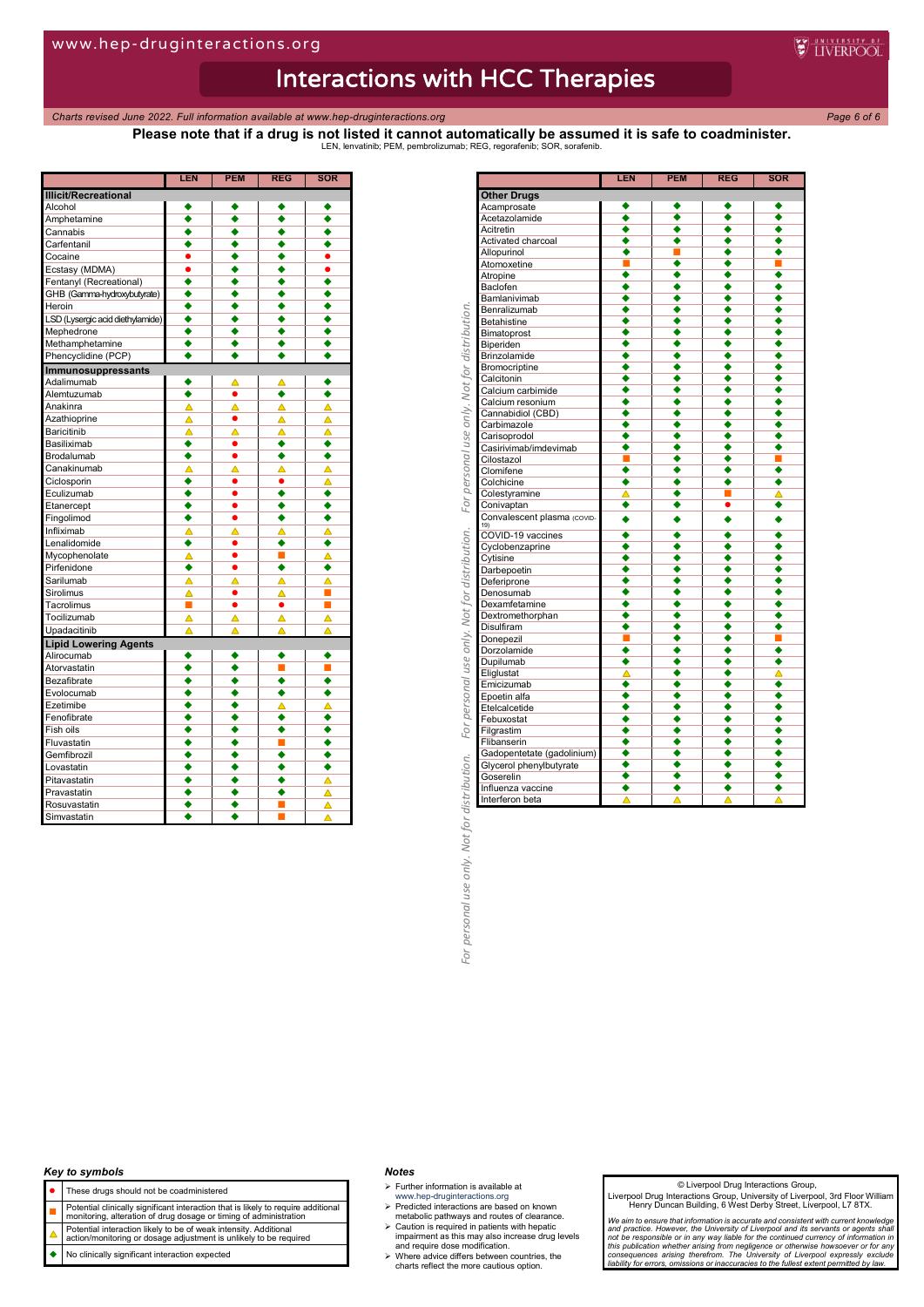*Charts revised June 2022. Full information available at www.hep-druginteractions.org Page 6 of 6*

**Please note that if a drug is not listed it cannot automatically be assumed it is safe to coadminister.** LEN, lenvatinib; PEM, pembrolizumab; REG, regorafenib; SOR, sorafenib.

**WEINERPOOL** 

|                                  | LEN                  | PEM                  | REG                  | SOR                  |
|----------------------------------|----------------------|----------------------|----------------------|----------------------|
| <b>Illicit/Recreational</b>      |                      |                      |                      |                      |
| Alcohol                          |                      |                      |                      |                      |
| Amphetamine                      | $\overline{\bullet}$ | $\overline{\bullet}$ | $\overline{\bullet}$ | $\overline{\bullet}$ |
| Cannabis                         | ٠                    | ٠                    | ٠                    | ٠                    |
| Carfentanil                      | ٠                    | ٠                    | ٠                    | ٠                    |
| Cocaine                          | $\bullet$            | ٠                    | ٠                    | $\bullet$            |
| Ecstasy (MDMA)                   | $\bullet$            | ٠                    | ٠                    | $\bullet$            |
| Fentanyl (Recreational)          | ٠                    | ٠                    | ٠                    | ٠                    |
| GHB (Gamma-hydroxybutyrate)      | ٠                    | ٠                    | ٠                    | ٠                    |
| Heroin                           | ٠                    | ٠                    | ٠                    | ٠                    |
| LSD (Lysergic acid diethylamide) | ٠                    | ٠                    | ٠                    | ٠                    |
| Mephedrone                       | ٠                    | ٠                    | ٠                    | ٠                    |
| Methamphetamine                  | ٠                    | ٠                    | ٠                    | ٠                    |
| Phencyclidine (PCP)              | $\overline{\bullet}$ | ٠                    | ٠                    | ٠                    |
| Immunosuppressants               |                      |                      |                      |                      |
| Adalimumab                       | ٠                    |                      |                      |                      |
| Alemtuzumab                      | ٠                    | $\bullet$            | ٠                    | ٠                    |
| Anakinra                         | Δ                    | Δ                    | Δ                    | Δ                    |
| Azathioprine                     | Δ                    | $\bullet$            | Δ                    | ▵                    |
| Baricitinib                      | Δ                    | Δ                    | Δ                    | Δ                    |
| Basiliximab                      | ٠                    | $\bullet$            | ٠                    | ٠                    |
| Brodalumab                       | ٠                    | $\bullet$            | ٠                    | ٠                    |
| Canakinumab                      | Δ                    | △                    | Δ                    | Δ                    |
| Ciclosporin                      | ٠                    | ٠                    | ٠                    | ▵                    |
| Eculizumab                       | ٠                    | $\bullet$            | ٠                    | ٠                    |
| Etanercept                       | ٠                    | $\bullet$            | ٠                    | ٠                    |
| Fingolimod                       | ٠                    | $\bullet$            | ٠                    | ٠                    |
| Infliximab                       | Δ                    | Δ                    | Δ                    | Δ                    |
| Lenalidomide                     | ٠                    | ٠                    | ٠                    | ٠                    |
| Mycophenolate                    | Δ                    | $\bullet$            | п                    | Δ                    |
| Pirfenidone                      | ٠                    | $\bullet$            | ٠                    | ٠                    |
| Sarilumab                        | Δ                    | Δ                    | Δ                    | Δ                    |
| Sirolimus                        | Δ                    | $\bullet$            | Δ                    | П                    |
| Tacrolimus                       | П                    | $\bullet$            | ٠                    | П                    |
| Tocilizumab                      | Δ                    | Δ                    | Δ                    | Δ                    |
| Upadacitinib                     | Δ                    | Δ                    | Δ                    | Δ                    |
| <b>Lipid Lowering Agents</b>     |                      |                      |                      |                      |
| Alirocumab                       | ٠                    | ٠                    | ٠                    | ٠                    |
| Atorvastatin                     | ٠                    | ٠                    | П                    | П                    |
| Bezafibrate                      | ٠                    | ٠                    | ٠                    | ٠                    |
| Evolocumab                       | ٠                    | ٠                    | ٠                    | ٠                    |
| Ezetimibe                        | ٠                    | ٠                    | Δ                    | ▵                    |
| Fenofibrate                      | ٠                    | ٠                    | ٠                    | ٠                    |
| Fish oils                        | ٠                    | ٠                    | ٠                    | ٠                    |
| Fluvastatin                      | ٠                    | ٠                    | п                    | ٠                    |
| Gemfibrozil                      | ٠                    | ٠                    | ٠                    | ٠                    |
| Lovastatin                       | ٠                    | ٠                    | ٠                    | ٠                    |
| Pitavastatin                     | ٠                    | ٠                    | ٠                    | Δ                    |
| Pravastatin                      | ٠                    | ٠                    | ٠                    | ▵                    |
| Rosuvastatin                     | ٠                    | ٠                    | ■                    | Δ                    |
| Simvastatin                      | ٠                    |                      |                      | Δ                    |
|                                  |                      |                      |                      |                      |

| ٠<br>٠<br>٠<br>٠<br>٠<br>٠<br>٠<br>◆<br>$\overline{\bullet}$<br>◆<br>٠<br>٠<br>٠<br>٠<br>٠<br>٠<br>٠<br>٠<br>٠<br>■<br>٠<br>٠<br>٠<br>٠<br>٠<br>٠<br>٠<br>٠<br>٠<br>٠<br>٠<br>٠<br>٠<br>٠<br>٠<br>٠<br>٠<br>٠<br>٠<br>٠<br>٠<br>٠<br>٠<br>٠<br>٠<br>٠<br>٠<br>٠<br>٠<br>٠<br>٠<br>٠<br>$\overline{\bullet}$<br>$\overline{\bullet}$<br>٠<br>٠<br>٠<br>٠<br>٠<br>٠<br>٠<br>٠<br>٠<br>٠<br>$\overline{\bullet}$<br>$\overline{\bullet}$<br>٠<br>٠<br>٠<br>٠<br>٠<br>٠<br>٠<br>٠<br>٠<br>٠<br>٠<br>۰<br>٠<br>٠<br>٠<br>٠<br>٠<br>٠<br>٠<br>٠<br>г<br>$\overline{\bullet}$<br>٠<br>٠<br>٠<br>$\overline{\bullet}$<br>◆<br>٠<br>٠<br>п<br>Δ<br>▲<br>Δ<br>۰<br>٠<br>٠<br>٠<br>Convalescent plasma (COVID-<br>٠<br>٠<br>٠<br>٠<br>∙<br>∙<br>٠<br>٠<br>٠<br>٠<br>٠<br>٠<br>٠ |
|----------------------------------------------------------------------------------------------------------------------------------------------------------------------------------------------------------------------------------------------------------------------------------------------------------------------------------------------------------------------------------------------------------------------------------------------------------------------------------------------------------------------------------------------------------------------------------------------------------------------------------------------------------------------------------------------------------------------------------------------------------------------|
|                                                                                                                                                                                                                                                                                                                                                                                                                                                                                                                                                                                                                                                                                                                                                                      |
|                                                                                                                                                                                                                                                                                                                                                                                                                                                                                                                                                                                                                                                                                                                                                                      |
|                                                                                                                                                                                                                                                                                                                                                                                                                                                                                                                                                                                                                                                                                                                                                                      |
|                                                                                                                                                                                                                                                                                                                                                                                                                                                                                                                                                                                                                                                                                                                                                                      |
|                                                                                                                                                                                                                                                                                                                                                                                                                                                                                                                                                                                                                                                                                                                                                                      |
|                                                                                                                                                                                                                                                                                                                                                                                                                                                                                                                                                                                                                                                                                                                                                                      |
|                                                                                                                                                                                                                                                                                                                                                                                                                                                                                                                                                                                                                                                                                                                                                                      |
|                                                                                                                                                                                                                                                                                                                                                                                                                                                                                                                                                                                                                                                                                                                                                                      |
|                                                                                                                                                                                                                                                                                                                                                                                                                                                                                                                                                                                                                                                                                                                                                                      |
|                                                                                                                                                                                                                                                                                                                                                                                                                                                                                                                                                                                                                                                                                                                                                                      |
|                                                                                                                                                                                                                                                                                                                                                                                                                                                                                                                                                                                                                                                                                                                                                                      |
|                                                                                                                                                                                                                                                                                                                                                                                                                                                                                                                                                                                                                                                                                                                                                                      |
|                                                                                                                                                                                                                                                                                                                                                                                                                                                                                                                                                                                                                                                                                                                                                                      |
|                                                                                                                                                                                                                                                                                                                                                                                                                                                                                                                                                                                                                                                                                                                                                                      |
|                                                                                                                                                                                                                                                                                                                                                                                                                                                                                                                                                                                                                                                                                                                                                                      |
|                                                                                                                                                                                                                                                                                                                                                                                                                                                                                                                                                                                                                                                                                                                                                                      |
|                                                                                                                                                                                                                                                                                                                                                                                                                                                                                                                                                                                                                                                                                                                                                                      |
|                                                                                                                                                                                                                                                                                                                                                                                                                                                                                                                                                                                                                                                                                                                                                                      |
|                                                                                                                                                                                                                                                                                                                                                                                                                                                                                                                                                                                                                                                                                                                                                                      |
|                                                                                                                                                                                                                                                                                                                                                                                                                                                                                                                                                                                                                                                                                                                                                                      |
|                                                                                                                                                                                                                                                                                                                                                                                                                                                                                                                                                                                                                                                                                                                                                                      |
|                                                                                                                                                                                                                                                                                                                                                                                                                                                                                                                                                                                                                                                                                                                                                                      |
|                                                                                                                                                                                                                                                                                                                                                                                                                                                                                                                                                                                                                                                                                                                                                                      |
|                                                                                                                                                                                                                                                                                                                                                                                                                                                                                                                                                                                                                                                                                                                                                                      |
|                                                                                                                                                                                                                                                                                                                                                                                                                                                                                                                                                                                                                                                                                                                                                                      |
|                                                                                                                                                                                                                                                                                                                                                                                                                                                                                                                                                                                                                                                                                                                                                                      |
|                                                                                                                                                                                                                                                                                                                                                                                                                                                                                                                                                                                                                                                                                                                                                                      |
|                                                                                                                                                                                                                                                                                                                                                                                                                                                                                                                                                                                                                                                                                                                                                                      |
|                                                                                                                                                                                                                                                                                                                                                                                                                                                                                                                                                                                                                                                                                                                                                                      |
|                                                                                                                                                                                                                                                                                                                                                                                                                                                                                                                                                                                                                                                                                                                                                                      |
|                                                                                                                                                                                                                                                                                                                                                                                                                                                                                                                                                                                                                                                                                                                                                                      |
|                                                                                                                                                                                                                                                                                                                                                                                                                                                                                                                                                                                                                                                                                                                                                                      |
|                                                                                                                                                                                                                                                                                                                                                                                                                                                                                                                                                                                                                                                                                                                                                                      |
|                                                                                                                                                                                                                                                                                                                                                                                                                                                                                                                                                                                                                                                                                                                                                                      |
|                                                                                                                                                                                                                                                                                                                                                                                                                                                                                                                                                                                                                                                                                                                                                                      |
|                                                                                                                                                                                                                                                                                                                                                                                                                                                                                                                                                                                                                                                                                                                                                                      |
|                                                                                                                                                                                                                                                                                                                                                                                                                                                                                                                                                                                                                                                                                                                                                                      |
|                                                                                                                                                                                                                                                                                                                                                                                                                                                                                                                                                                                                                                                                                                                                                                      |
| $\overline{\bullet}$<br>٠<br>٠<br>۰                                                                                                                                                                                                                                                                                                                                                                                                                                                                                                                                                                                                                                                                                                                                  |
| ٠<br>٠<br>٠<br>٠                                                                                                                                                                                                                                                                                                                                                                                                                                                                                                                                                                                                                                                                                                                                                     |
| ٠<br>٠<br>٠<br>٠                                                                                                                                                                                                                                                                                                                                                                                                                                                                                                                                                                                                                                                                                                                                                     |
| ∙<br>$\overline{\bullet}$<br>◆<br>◆                                                                                                                                                                                                                                                                                                                                                                                                                                                                                                                                                                                                                                                                                                                                  |
|                                                                                                                                                                                                                                                                                                                                                                                                                                                                                                                                                                                                                                                                                                                                                                      |
| ٠<br>٠<br>٠<br>٠                                                                                                                                                                                                                                                                                                                                                                                                                                                                                                                                                                                                                                                                                                                                                     |
| ٠<br>٠<br>٠<br>٠                                                                                                                                                                                                                                                                                                                                                                                                                                                                                                                                                                                                                                                                                                                                                     |
| ◆<br>٠                                                                                                                                                                                                                                                                                                                                                                                                                                                                                                                                                                                                                                                                                                                                                               |
| ٠<br>٠<br>٠<br>٠                                                                                                                                                                                                                                                                                                                                                                                                                                                                                                                                                                                                                                                                                                                                                     |
| ٠<br>◆<br>٠<br>٠                                                                                                                                                                                                                                                                                                                                                                                                                                                                                                                                                                                                                                                                                                                                                     |
| ◆<br>٠                                                                                                                                                                                                                                                                                                                                                                                                                                                                                                                                                                                                                                                                                                                                                               |
| Δ                                                                                                                                                                                                                                                                                                                                                                                                                                                                                                                                                                                                                                                                                                                                                                    |
| ٠<br>٠                                                                                                                                                                                                                                                                                                                                                                                                                                                                                                                                                                                                                                                                                                                                                               |
| ٠<br>٠                                                                                                                                                                                                                                                                                                                                                                                                                                                                                                                                                                                                                                                                                                                                                               |
| $\overline{\bullet}$<br>٠<br>٠<br>٠                                                                                                                                                                                                                                                                                                                                                                                                                                                                                                                                                                                                                                                                                                                                  |
| ٠<br>٠                                                                                                                                                                                                                                                                                                                                                                                                                                                                                                                                                                                                                                                                                                                                                               |
| ٠<br>٠                                                                                                                                                                                                                                                                                                                                                                                                                                                                                                                                                                                                                                                                                                                                                               |
|                                                                                                                                                                                                                                                                                                                                                                                                                                                                                                                                                                                                                                                                                                                                                                      |
| $\overline{\bullet}$<br>٠                                                                                                                                                                                                                                                                                                                                                                                                                                                                                                                                                                                                                                                                                                                                            |
| ٠<br>٠<br>٠<br>٠                                                                                                                                                                                                                                                                                                                                                                                                                                                                                                                                                                                                                                                                                                                                                     |
| ٠<br>٠<br>٠<br>٠                                                                                                                                                                                                                                                                                                                                                                                                                                                                                                                                                                                                                                                                                                                                                     |
| $\overline{\bullet}$<br>٠                                                                                                                                                                                                                                                                                                                                                                                                                                                                                                                                                                                                                                                                                                                                            |
| ٠<br>٠                                                                                                                                                                                                                                                                                                                                                                                                                                                                                                                                                                                                                                                                                                                                                               |
|                                                                                                                                                                                                                                                                                                                                                                                                                                                                                                                                                                                                                                                                                                                                                                      |
| Δ<br>Δ<br>Δ                                                                                                                                                                                                                                                                                                                                                                                                                                                                                                                                                                                                                                                                                                                                                          |
| Δ<br>٠<br>٠<br>٠<br>٠<br>٠<br>٠<br>٠<br>٠<br>$\overline{\bullet}$<br>٠<br>Gadopentetate (gadolinium)<br>٠<br>٠<br>٠<br>٠                                                                                                                                                                                                                                                                                                                                                                                                                                                                                                                                                                                                                                             |

## *Key to symbols*

- These drugs should not be coadministered
- 
- **Potential clinically significant interaction that is likely to require additional**<br>monitoring, alteration of drug dosage or timing of administration
- Potential interaction likely to be of weak intensity. Additional action/monitoring or dosage adjustment is unlikely to be required
- No clinically significant interaction expected

#### *Notes*

 $\triangleright$  Further information is available at

- 
- www.hep-druginteractions.org Predicted interactions are based on known metabolic pathways and routes of clearance.
- Caution is required in patients with hepatic impairment as this may also increase drug levels and require dose modification. Where advice differs between countries, the charts reflect the more cautious option.
- 

#### © Liverpool Drug Interactions Group,

Liverpool Drug Interactions Group, University of Liverpool, 3rd Floor William Henry Duncan Building, 6 West Derby Street, Liverpool, L7 8TX.